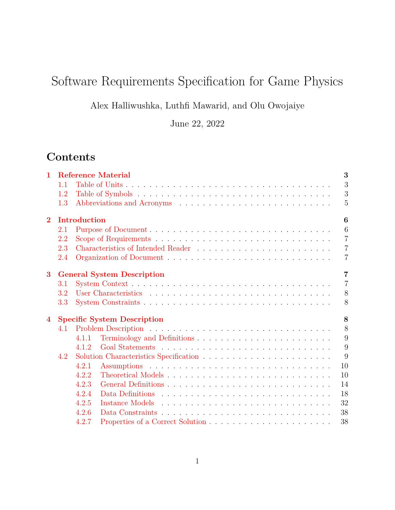# Software Requirements Specification for Game Physics

Alex Halliwushka, Luthfi Mawarid, and Olu Owojaiye

June 22, 2022

# **Contents**

| $\mathbf{1}$   |     |              | <b>Reference Material</b>          | 3              |
|----------------|-----|--------------|------------------------------------|----------------|
|                | 1.1 |              |                                    | 3              |
|                | 1.2 |              |                                    | 3              |
|                | 1.3 |              |                                    | $\overline{5}$ |
| $\overline{2}$ |     | Introduction |                                    | 6              |
|                | 2.1 |              |                                    | 6              |
|                | 2.2 |              |                                    | $\overline{7}$ |
|                | 2.3 |              |                                    | $\overline{7}$ |
|                | 2.4 |              |                                    | $\overline{7}$ |
| 3              |     |              | <b>General System Description</b>  | $\overline{7}$ |
|                | 3.1 |              |                                    | $\overline{7}$ |
|                | 3.2 |              |                                    | 8              |
|                | 3.3 |              |                                    | 8              |
| $\overline{4}$ |     |              | <b>Specific System Description</b> | 8              |
|                | 4.1 |              |                                    | 8              |
|                |     | 4.1.1        |                                    | 9              |
|                |     | 4.1.2        |                                    | 9              |
|                | 4.2 |              |                                    | 9              |
|                |     | 4.2.1        |                                    | 10             |
|                |     | 4.2.2        |                                    | 10             |
|                |     | 4.2.3        |                                    | 14             |
|                |     | 4.2.4        |                                    | 18             |
|                |     | 4.2.5        |                                    | 32             |
|                |     | 4.2.6        |                                    | 38             |
|                |     | 4.2.7        |                                    | 38             |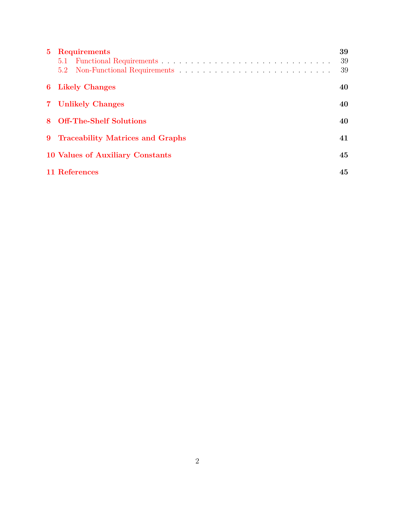| 5 Requirements                     | 39 |
|------------------------------------|----|
|                                    | 39 |
| 5.2                                | 39 |
| <b>6</b> Likely Changes            | 40 |
| 7 Unlikely Changes                 | 40 |
| 8 Off-The-Shelf Solutions          | 40 |
| 9 Traceability Matrices and Graphs | 41 |
| 10 Values of Auxiliary Constants   | 45 |
| 11 References                      | 45 |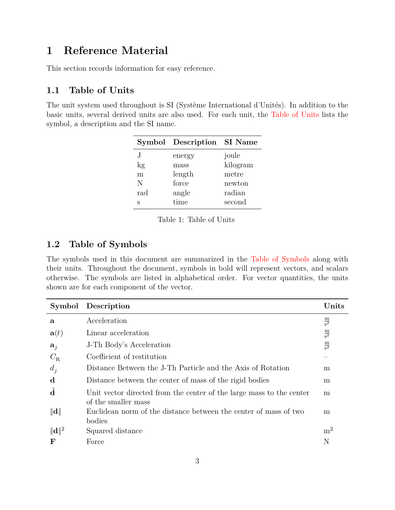# <span id="page-2-0"></span>**1 Reference Material**

This section records information for easy reference.

## <span id="page-2-1"></span>**1.1 Table of Units**

<span id="page-2-3"></span>The unit system used throughout is SI (Système International d'Unités). In addition to the basic units, several derived units are also used. For each unit, the [Table of Units](#page-2-3) lists the symbol, a description and the SI name.

|     | Symbol Description SI Name |          |
|-----|----------------------------|----------|
| .J  | energy                     | joule    |
| kg  | mass                       | kilogram |
| m   | length                     | metre    |
| N   | force                      | newton   |
| rad | angle                      | radian   |
| S   | time                       | second   |

Table 1: Table of Units

## <span id="page-2-2"></span>**1.2 Table of Symbols**

The symbols used in this document are summarized in the [Table of Symbols](#page-2-4) along with their units. Throughout the document, symbols in bold will represent vectors, and scalars otherwise. The symbols are listed in alphabetical order. For vector quantities, the units shown are for each component of the vector.

<span id="page-2-4"></span>

|                    | Symbol Description                                                                          | Units                         |
|--------------------|---------------------------------------------------------------------------------------------|-------------------------------|
| a                  | Acceleration                                                                                | $\frac{\text{m}}{\text{s}^2}$ |
| $\mathbf{a}(t)$    | Linear acceleration                                                                         | $\frac{\text{m}}{\text{s}^2}$ |
| $a_i$              | J-Th Body's Acceleration                                                                    | $\frac{\text{m}}{\text{s}^2}$ |
| $C_{\rm R}$        | Coefficient of restitution                                                                  |                               |
| $d_i$              | Distance Between the J-Th Particle and the Axis of Rotation                                 | m                             |
| d                  | Distance between the center of mass of the rigid bodies                                     | m                             |
| $\hat{\mathbf{d}}$ | Unit vector directed from the center of the large mass to the center<br>of the smaller mass | m                             |
| $\ \mathbf{d}\ $   | Euclidean norm of the distance between the center of mass of two<br>bodies                  | m                             |
| $\ \mathbf{d}\ ^2$ | Squared distance                                                                            | m <sup>2</sup>                |
| $\mathbf F$        | Force                                                                                       | N                             |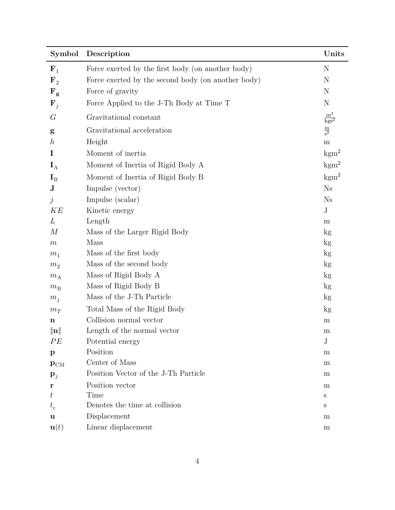| Symbol                  | Description                                        | Units                                    |
|-------------------------|----------------------------------------------------|------------------------------------------|
| ${\bf F}_1$             | Force exerted by the first body (on another body)  | N                                        |
| $\mathbf{F}_{2}$        | Force exerted by the second body (on another body) | N                                        |
| $F_{g}$                 | Force of gravity                                   | N                                        |
| ${\bf F}_j$             | Force Applied to the J-Th Body at Time T           | N                                        |
| G                       | Gravitational constant                             | $\frac{\text{m}^3}{\text{kg}\text{s}^2}$ |
| g                       | Gravitational acceleration                         | $\frac{\text{m}}{\text{s}^2}$            |
| $\boldsymbol{h}$        | Height                                             | m                                        |
| I                       | Moment of inertia                                  | $\mathrm{kgm}^2$                         |
| $\mathbf{I}_{\text{A}}$ | Moment of Inertia of Rigid Body A                  | $\text{kgm}^2$                           |
| $\mathbf{I}_{\rm B}$    | Moment of Inertia of Rigid Body B                  | $\text{kgm}^2$                           |
| ${\bf J}$               | Impulse (vector)                                   | Ns                                       |
| $\dot{\jmath}$          | Impulse (scalar)                                   | $N_{\rm S}$                              |
| KE                      | Kinetic energy                                     | $_{\rm J}$                               |
| L                       | Length                                             | m                                        |
| $\,M$                   | Mass of the Larger Rigid Body                      | kg                                       |
| $\,m$                   | Mass                                               | kg                                       |
| m <sub>1</sub>          | Mass of the first body                             | kg                                       |
| m <sub>2</sub>          | Mass of the second body                            | kg                                       |
| $m_A$                   | Mass of Rigid Body A                               | kg                                       |
| $m_{\rm B}$             | Mass of Rigid Body B                               | $\mathrm{kg}$                            |
| $m_j$                   | Mass of the J-Th Particle                          | kg                                       |
| $m_T$                   | Total Mass of the Rigid Body                       | kg                                       |
| $\mathbf n$             | Collision normal vector                            | m                                        |
| $\ \mathbf{n}\ $        | Length of the normal vector                        | m                                        |
| PE                      | Potential energy                                   | $_{\rm J}$                               |
| $\mathbf{p}$            | Position                                           | m                                        |
| $P_{CM}$                | Center of Mass                                     | m                                        |
| ${\bf p}_j$             | Position Vector of the J-Th Particle               | m                                        |
| r                       | Position vector                                    | m                                        |
| ŧ                       | Time                                               | S                                        |
| $t_{\rm c}$             | Denotes the time at collision                      | S                                        |
| $\mathbf u$             | Displacement                                       | m                                        |
| $\mathbf{u}(t)$         | Linear displacement                                | m                                        |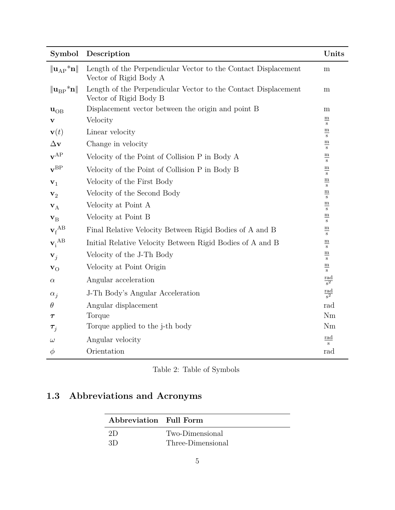| Symbol                                         | Description                                                                              | Units                                               |
|------------------------------------------------|------------------------------------------------------------------------------------------|-----------------------------------------------------|
| $\ {\bf u}_{\rm AP}^{\rm A} \bf{n}\ $          | Length of the Perpendicular Vector to the Contact Displacement<br>Vector of Rigid Body A | m                                                   |
| $\ {\mathbf{u}}_{\text{BP}}^{\;*}\mathbf{n}\ $ | Length of the Perpendicular Vector to the Contact Displacement<br>Vector of Rigid Body B | m                                                   |
| $\mathbf{u}_{\rm OB}$                          | Displacement vector between the origin and point B                                       | m                                                   |
| v                                              | Velocity                                                                                 | $\mathbf m$<br>$\, {\bf S}$                         |
| $\mathbf{v}(t)$                                | Linear velocity                                                                          | $\underline{\mathbf{m}}$<br>$\mathbf S$             |
| $\Delta$ v                                     | Change in velocity                                                                       | $\underline{\mathbf{m}}$<br>$\, {\bf S}$            |
| $\mathbf{v}^{\mathrm{AP}}$                     | Velocity of the Point of Collision P in Body A                                           | $\underline{\mathbf{m}}$<br>$\, {\bf S}$            |
| $\mathbf{v}^{\rm BP}$                          | Velocity of the Point of Collision P in Body B                                           | ${\bf m}$<br>$\, {\bf S}$                           |
| $\mathbf{v}_1$                                 | Velocity of the First Body                                                               | ${\bf m}$<br>$\bf S$                                |
| $\mathbf{v}_2$                                 | Velocity of the Second Body                                                              | ${\bf m}$<br>$\bf S$                                |
| ${\bf v}_{\rm A}$                              | Velocity at Point A                                                                      | m<br>$\, {\bf s}$                                   |
| $\mathbf{v}_\mathrm{B}$                        | Velocity at Point B                                                                      | $\mathbf m$<br>$\bf S$                              |
| $v_f^{AB}$                                     | Final Relative Velocity Between Rigid Bodies of A and B                                  | $\underline{\underline{\mathbf{m}}}$<br>$\mathbf S$ |
| $v_i^{AB}$                                     | Initial Relative Velocity Between Rigid Bodies of A and B                                | ${\bf m}$<br>$\bf S$                                |
| ${\bf v}_i$                                    | Velocity of the J-Th Body                                                                | $\mathbf m$<br>$\bf S$                              |
| $\mathbf{v}_{\rm O}$                           | Velocity at Point Origin                                                                 | $\underline{\mathbf{m}}$<br>$\mathbf{s}$            |
| $\alpha$                                       | Angular acceleration                                                                     | $\frac{\text{rad}}{\text{s}^2}$                     |
| $\alpha_i$                                     | J-Th Body's Angular Acceleration                                                         | $rac{\text{rad}}{\text{s}^2}$                       |
| $\theta$                                       | Angular displacement                                                                     | rad                                                 |
| $\bm{\tau}$                                    | Torque                                                                                   | Nm                                                  |
| $\boldsymbol{\tau}_j$                          | Torque applied to the j-th body                                                          | Nm                                                  |
| $\omega$                                       | Angular velocity                                                                         | <u>rad</u><br>$\mathbf{s}$                          |
| $\phi$                                         | Orientation                                                                              | rad                                                 |

| Table 2: Table of Symbols |  |  |  |  |
|---------------------------|--|--|--|--|
|---------------------------|--|--|--|--|

# <span id="page-4-0"></span>**1.3 Abbreviations and Acronyms**

| Abbreviation Full Form |                   |
|------------------------|-------------------|
| 2D                     | Two-Dimensional   |
| 3D                     | Three-Dimensional |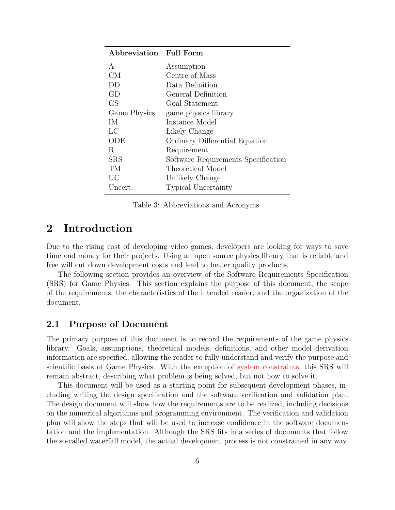| Abbreviation Full Form |                                     |
|------------------------|-------------------------------------|
| A                      | Assumption                          |
| <b>CM</b>              | Centre of Mass                      |
| DD                     | Data Definition                     |
| GD                     | General Definition                  |
| GS                     | Goal Statement                      |
| Game Physics           | game physics library                |
| IМ                     | Instance Model                      |
| LC                     | Likely Change                       |
| ODE                    | Ordinary Differential Equation      |
| R                      | Requirement                         |
| <b>SRS</b>             | Software Requirements Specification |
| TM                     | Theoretical Model                   |
| UC                     | Unlikely Change                     |
| Uncert.                | <b>Typical Uncertainty</b>          |

Table 3: Abbreviations and Acronyms

# <span id="page-5-0"></span>**2 Introduction**

Due to the rising cost of developing video games, developers are looking for ways to save time and money for their projects. Using an open source physics library that is reliable and free will cut down development costs and lead to better quality products.

The following section provides an overview of the Software Requirements Specification (SRS) for Game Physics. This section explains the purpose of this document, the scope of the requirements, the characteristics of the intended reader, and the organization of the document.

#### <span id="page-5-1"></span>**2.1 Purpose of Document**

The primary purpose of this document is to record the requirements of the game physics library. Goals, assumptions, theoretical models, definitions, and other model derivation information are specified, allowing the reader to fully understand and verify the purpose and scientific basis of Game Physics. With the exception of [system constraints,](#page-7-1) this SRS will remain abstract, describing what problem is being solved, but not how to solve it.

This document will be used as a starting point for subsequent development phases, including writing the design specification and the software verification and validation plan. The design document will show how the requirements are to be realized, including decisions on the numerical algorithms and programming environment. The verification and validation plan will show the steps that will be used to increase confidence in the software documentation and the implementation. Although the SRS fits in a series of documents that follow the so-called waterfall model, the actual development process is not constrained in any way.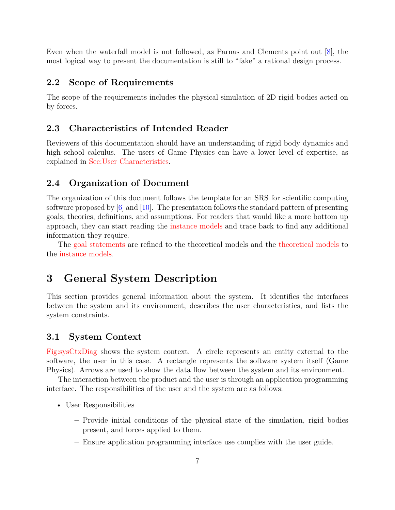Even when the waterfall model is not followed, as Parnas and Clements point out [\[8\]](#page-44-2), the most logical way to present the documentation is still to "fake" a rational design process.

### <span id="page-6-0"></span>**2.2 Scope of Requirements**

The scope of the requirements includes the physical simulation of 2D rigid bodies acted on by forces.

### <span id="page-6-1"></span>**2.3 Characteristics of Intended Reader**

Reviewers of this documentation should have an understanding of rigid body dynamics and high school calculus. The users of Game Physics can have a lower level of expertise, as explained in [Sec:User Characteristics.](#page-7-0)

#### <span id="page-6-2"></span>**2.4 Organization of Document**

The organization of this document follows the template for an SRS for scientific computing software proposed by  $[6]$  and  $[10]$ . The presentation follows the standard pattern of presenting goals, theories, definitions, and assumptions. For readers that would like a more bottom up approach, they can start reading the [instance models](#page-31-0) and trace back to find any additional information they require.

The [goal statements](#page-8-1) are refined to the theoretical models and the [theoretical models](#page-9-1) to the [instance models.](#page-31-0)

# <span id="page-6-3"></span>**3 General System Description**

This section provides general information about the system. It identifies the interfaces between the system and its environment, describes the user characteristics, and lists the system constraints.

#### <span id="page-6-4"></span>**3.1 System Context**

[Fig:sysCtxDiag](#page-7-4) shows the system context. A circle represents an entity external to the software, the user in this case. A rectangle represents the software system itself (Game Physics). Arrows are used to show the data flow between the system and its environment.

The interaction between the product and the user is through an application programming interface. The responsibilities of the user and the system are as follows:

- User Responsibilities
	- **–** Provide initial conditions of the physical state of the simulation, rigid bodies present, and forces applied to them.
	- **–** Ensure application programming interface use complies with the user guide.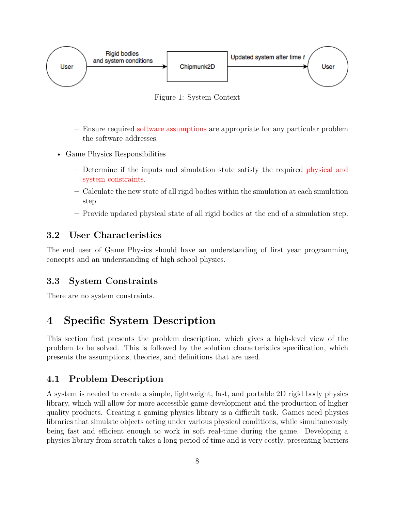<span id="page-7-4"></span>

Figure 1: System Context

- **–** Ensure required [software assumptions](#page-9-0) are appropriate for any particular problem the software addresses.
- Game Physics Responsibilities
	- **–** Determine if the inputs and simulation state satisfy the required [physical and](#page-37-0) [system constraints.](#page-37-0)
	- **–** Calculate the new state of all rigid bodies within the simulation at each simulation step.
	- **–** Provide updated physical state of all rigid bodies at the end of a simulation step.

## <span id="page-7-0"></span>**3.2 User Characteristics**

The end user of Game Physics should have an understanding of first year programming concepts and an understanding of high school physics.

## <span id="page-7-1"></span>**3.3 System Constraints**

There are no system constraints.

# <span id="page-7-2"></span>**4 Specific System Description**

This section first presents the problem description, which gives a high-level view of the problem to be solved. This is followed by the solution characteristics specification, which presents the assumptions, theories, and definitions that are used.

## <span id="page-7-3"></span>**4.1 Problem Description**

A system is needed to create a simple, lightweight, fast, and portable 2D rigid body physics library, which will allow for more accessible game development and the production of higher quality products. Creating a gaming physics library is a difficult task. Games need physics libraries that simulate objects acting under various physical conditions, while simultaneously being fast and efficient enough to work in soft real-time during the game. Developing a physics library from scratch takes a long period of time and is very costly, presenting barriers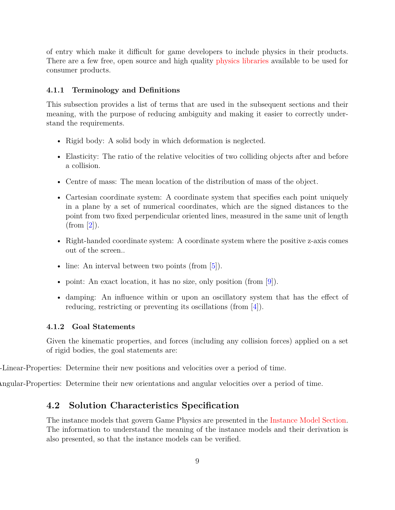of entry which make it difficult for game developers to include physics in their products. There are a few free, open source and high quality [physics libraries](#page-39-2) available to be used for consumer products.

#### <span id="page-8-0"></span>**4.1.1 Terminology and Definitions**

This subsection provides a list of terms that are used in the subsequent sections and their meaning, with the purpose of reducing ambiguity and making it easier to correctly understand the requirements.

- Rigid body: A solid body in which deformation is neglected.
- Elasticity: The ratio of the relative velocities of two colliding objects after and before a collision.
- Centre of mass: The mean location of the distribution of mass of the object.
- Cartesian coordinate system: A coordinate system that specifies each point uniquely in a plane by a set of numerical coordinates, which are the signed distances to the point from two fixed perpendicular oriented lines, measured in the same unit of length  $(from [2]).$  $(from [2]).$  $(from [2]).$
- Right-handed coordinate system: A coordinate system where the positive z-axis comes out of the screen..
- line: An interval between two points (from [\[5\]](#page-44-5)).
- point: An exact location, it has no size, only position (from [\[9\]](#page-44-6)).
- damping: An influence within or upon an oscillatory system that has the effect of reducing, restricting or preventing its oscillations (from [\[4\]](#page-44-7)).

#### <span id="page-8-1"></span>**4.1.2 Goal Statements**

<span id="page-8-3"></span>Given the kinematic properties, and forces (including any collision forces) applied on a set of rigid bodies, the goal statements are:

-Linear-Properties: Determine their new positions and velocities over a period of time.

Determine-Angular-Properties: Determine their new orientations and angular velocities over a period of time.

#### <span id="page-8-4"></span><span id="page-8-2"></span>**4.2 Solution Characteristics Specification**

The instance models that govern Game Physics are presented in the [Instance Model Section.](#page-31-0) The information to understand the meaning of the instance models and their derivation is also presented, so that the instance models can be verified.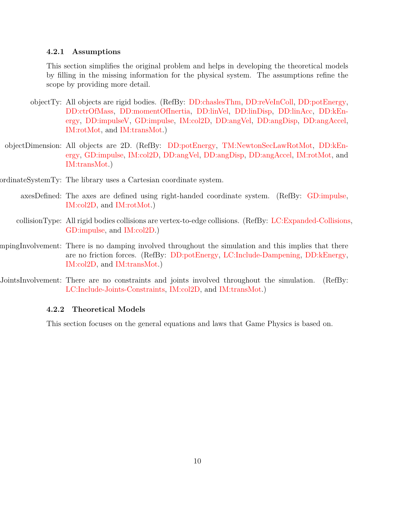#### <span id="page-9-0"></span>**4.2.1 Assumptions**

This section simplifies the original problem and helps in developing the theoretical models by filling in the missing information for the physical system. The assumptions refine the scope by providing more detail.

- <span id="page-9-3"></span><span id="page-9-2"></span>objectTy: All objects are rigid bodies. (RefBy: [DD:chaslesThm,](#page-24-0) [DD:reVeInColl,](#page-28-0) [DD:potEnergy,](#page-30-0) [DD:ctrOfMass,](#page-17-1) [DD:momentOfInertia,](#page-31-1) [DD:linVel,](#page-19-0) [DD:linDisp,](#page-18-0) [DD:linAcc,](#page-20-0) [DD:kEn](#page-26-0)[ergy,](#page-26-0) [DD:impulseV,](#page-29-0) [GD:impulse,](#page-16-0) [IM:col2D,](#page-36-0) [DD:angVel,](#page-22-0) [DD:angDisp,](#page-21-0) [DD:angAccel,](#page-23-0) [IM:rotMot,](#page-34-0) and [IM:transMot.](#page-32-0))
- objectDimension: All objects are 2D. (RefBy: [DD:potEnergy,](#page-30-0) [TM:NewtonSecLawRotMot,](#page-13-1) [DD:kEn](#page-26-0)[ergy,](#page-26-0) [GD:impulse,](#page-16-0) [IM:col2D,](#page-36-0) [DD:angVel,](#page-22-0) [DD:angDisp,](#page-21-0) [DD:angAccel,](#page-23-0) [IM:rotMot,](#page-34-0) and [IM:transMot.](#page-32-0))
- <span id="page-9-8"></span><span id="page-9-4"></span>ordinateSystemTy: The library uses a Cartesian coordinate system.
	- axesDefined: The axes are defined using right-handed coordinate system. (RefBy: [GD:impulse,](#page-16-0) [IM:col2D,](#page-36-0) and [IM:rotMot.](#page-34-0))
	- collisionType: All rigid bodies collisions are vertex-to-edge collisions. (RefBy: [LC:Expanded-Collisions,](#page-39-3) [GD:impulse,](#page-16-0) and [IM:col2D.](#page-36-0))
- <span id="page-9-6"></span><span id="page-9-5"></span>mpingInvolvement: There is no damping involved throughout the simulation and this implies that there are no friction forces. (RefBy: [DD:potEnergy,](#page-30-0) [LC:Include-Dampening,](#page-39-4) [DD:kEnergy,](#page-26-0) [IM:col2D,](#page-36-0) and [IM:transMot.](#page-32-0))
- JointsInvolvement: There are no constraints and joints involved throughout the simulation. (RefBy: [LC:Include-Joints-Constraints,](#page-39-5) [IM:col2D,](#page-36-0) and [IM:transMot.](#page-32-0))

#### <span id="page-9-7"></span><span id="page-9-1"></span>**4.2.2 Theoretical Models**

This section focuses on the general equations and laws that Game Physics is based on.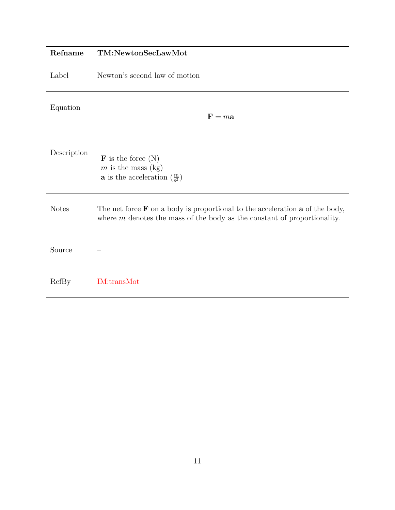<span id="page-10-0"></span>

| Refname      | TM:NewtonSecLawMot                                                                                                                                                       |
|--------------|--------------------------------------------------------------------------------------------------------------------------------------------------------------------------|
| Label        | Newton's second law of motion                                                                                                                                            |
| Equation     | $\mathbf{F} = m\mathbf{a}$                                                                                                                                               |
| Description  | $\mathbf F$ is the force $(N)$<br>$m$ is the mass (kg)<br><b>a</b> is the acceleration $\left(\frac{m}{s^2}\right)$                                                      |
| <b>Notes</b> | The net force $\bf{F}$ on a body is proportional to the acceleration $\bf{a}$ of the body,<br>where $m$ denotes the mass of the body as the constant of proportionality. |
| Source       |                                                                                                                                                                          |
| RefBy        | IM:transMot                                                                                                                                                              |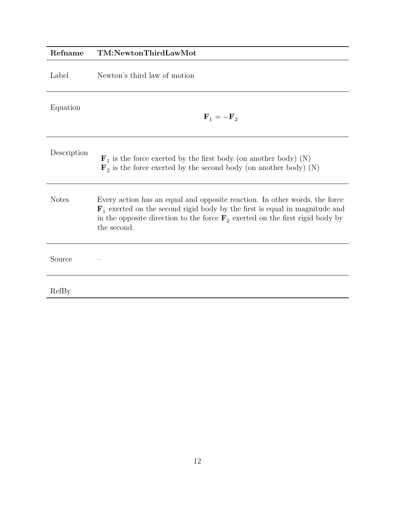<span id="page-11-0"></span>

| Refname      | TM:NewtonThirdLawMot                                                                                                                                                                                                                                                            |
|--------------|---------------------------------------------------------------------------------------------------------------------------------------------------------------------------------------------------------------------------------------------------------------------------------|
| Label        | Newton's third law of motion                                                                                                                                                                                                                                                    |
| Equation     | $\mathbf{F}_1 = -\mathbf{F}_2$                                                                                                                                                                                                                                                  |
| Description  | $\mathbf{F}_1$ is the force exerted by the first body (on another body) (N)<br>$\mathbf{F}_2$ is the force exerted by the second body (on another body) (N)                                                                                                                     |
| <b>Notes</b> | Every action has an equal and opposite reaction. In other words, the force<br>$\mathbf{F}_1$ exerted on the second rigid body by the first is equal in magnitude and<br>in the opposite direction to the force $\mathbf{F}_2$ exerted on the first rigid body by<br>the second. |
| Source       |                                                                                                                                                                                                                                                                                 |
| RefBy        |                                                                                                                                                                                                                                                                                 |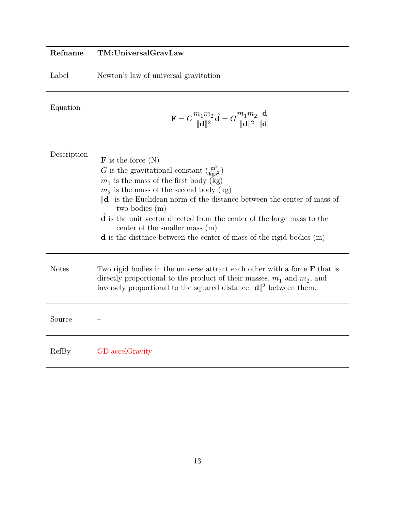## **Refname TM:UniversalGravLaw**

Label Newton's law of universal gravitation

Equation

<span id="page-12-0"></span>
$$
\mathbf{F} = G \frac{m_1 m_2}{\|\mathbf{d}\|^2} \hat{\mathbf{d}} = G \frac{m_1 m_2}{\|\mathbf{d}\|^2} \frac{\mathbf{d}}{\|\mathbf{d}\|}
$$

| Description  | $\mathbf{F}$ is the force $(N)$<br>G is the gravitational constant $\left(\frac{m^3}{\text{kgs}^2}\right)$<br>$m_1$ is the mass of the first body (kg)<br>$m_2$ is the mass of the second body (kg)<br>$\ \mathbf{d}\ $ is the Euclidean norm of the distance between the center of mass of<br>two bodies (m)<br>$\mathbf d$ is the unit vector directed from the center of the large mass to the<br>center of the smaller mass $(m)$<br>$\bf d$ is the distance between the center of mass of the rigid bodies $(m)$ |
|--------------|-----------------------------------------------------------------------------------------------------------------------------------------------------------------------------------------------------------------------------------------------------------------------------------------------------------------------------------------------------------------------------------------------------------------------------------------------------------------------------------------------------------------------|
| <b>Notes</b> | Two rigid bodies in the universe attract each other with a force $\bf{F}$ that is<br>directly proportional to the product of their masses, $m_1$ and $m_2$ , and<br>inversely proportional to the squared distance $\ \mathbf{d}\ ^2$ between them.                                                                                                                                                                                                                                                                   |
| Source       |                                                                                                                                                                                                                                                                                                                                                                                                                                                                                                                       |
| RefBy        | GD:accelGravity                                                                                                                                                                                                                                                                                                                                                                                                                                                                                                       |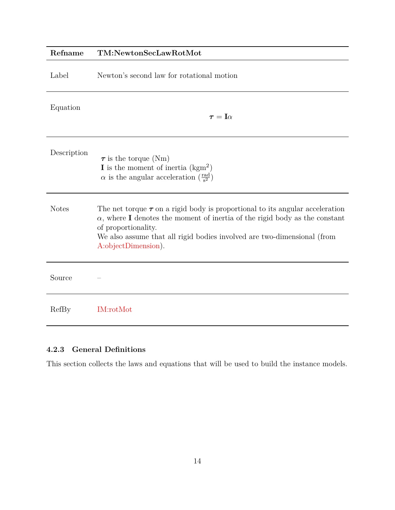<span id="page-13-1"></span>

| Refname      | TM:NewtonSecLawRotMot                                                                                                                                                                                                                                                                            |
|--------------|--------------------------------------------------------------------------------------------------------------------------------------------------------------------------------------------------------------------------------------------------------------------------------------------------|
| Label        | Newton's second law for rotational motion                                                                                                                                                                                                                                                        |
| Equation     | $\pmb{\tau} = \mathbf{I}\alpha$                                                                                                                                                                                                                                                                  |
| Description  | $\tau$ is the torque (Nm)<br><b>I</b> is the moment of inertia $(kgm^2)$<br>$\alpha$ is the angular acceleration $\left(\frac{\text{rad}}{\text{s}^2}\right)$                                                                                                                                    |
| <b>Notes</b> | The net torque $\tau$ on a rigid body is proportional to its angular acceleration<br>$\alpha$ , where I denotes the moment of inertia of the rigid body as the constant<br>of proportionality.<br>We also assume that all rigid bodies involved are two-dimensional (from<br>A:objectDimension). |
| Source       |                                                                                                                                                                                                                                                                                                  |
| RefBy        | <b>IM:rotMot</b>                                                                                                                                                                                                                                                                                 |

## <span id="page-13-0"></span>**4.2.3 General Definitions**

This section collects the laws and equations that will be used to build the instance models.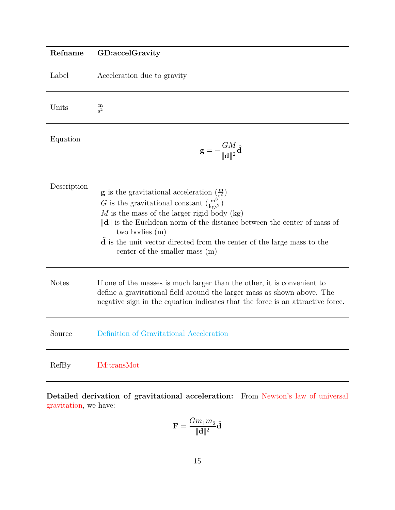<span id="page-14-0"></span>

| Refname      | GD:accelGravity                                                                                                                                                                                                                                                                                                                                                                                                                              |
|--------------|----------------------------------------------------------------------------------------------------------------------------------------------------------------------------------------------------------------------------------------------------------------------------------------------------------------------------------------------------------------------------------------------------------------------------------------------|
| Label        | Acceleration due to gravity                                                                                                                                                                                                                                                                                                                                                                                                                  |
| Units        | $\frac{\text{m}}{\text{s}^2}$                                                                                                                                                                                                                                                                                                                                                                                                                |
| Equation     | $\mathbf{g} = -\frac{GM}{\ \mathbf{d}\ ^2}\hat{\mathbf{d}}$                                                                                                                                                                                                                                                                                                                                                                                  |
| Description  | <b>g</b> is the gravitational acceleration $\left(\frac{m}{s^2}\right)$<br>G is the gravitational constant $\left(\frac{m^3}{\text{kgs}^2}\right)$<br>$M$ is the mass of the larger rigid body (kg)<br>$\ \mathbf{d}\ $ is the Euclidean norm of the distance between the center of mass of<br>two bodies (m)<br>$\hat{\mathbf{d}}$ is the unit vector directed from the center of the large mass to the<br>center of the smaller mass $(m)$ |
| <b>Notes</b> | If one of the masses is much larger than the other, it is convenient to<br>define a gravitational field around the larger mass as shown above. The<br>negative sign in the equation indicates that the force is an attractive force.                                                                                                                                                                                                         |
| Source       | Definition of Gravitational Acceleration                                                                                                                                                                                                                                                                                                                                                                                                     |
| RefBy        | <b>IM:transMot</b>                                                                                                                                                                                                                                                                                                                                                                                                                           |

**Detailed derivation of gravitational acceleration:** From [Newton's law of universal](#page-12-0) [gravitation,](#page-12-0) we have:

$$
\mathbf{F}=\frac{Gm_1m_2}{\|\mathbf{d}\|^2}\hat{\mathbf{d}}
$$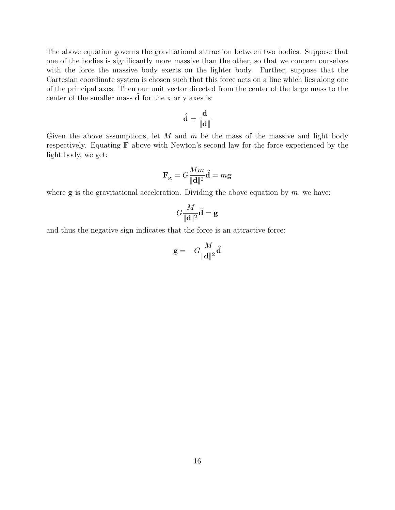The above equation governs the gravitational attraction between two bodies. Suppose that one of the bodies is significantly more massive than the other, so that we concern ourselves with the force the massive body exerts on the lighter body. Further, suppose that the Cartesian coordinate system is chosen such that this force acts on a line which lies along one of the principal axes. Then our unit vector directed from the center of the large mass to the center of the smaller mass  $\bf{d}$  for the x or y axes is:

$$
\widehat{\mathbf{d}} = \frac{\mathbf{d}}{\|\mathbf{d}\|}
$$

Given the above assumptions, let  $M$  and  $m$  be the mass of the massive and light body respectively. Equating  $\bf{F}$  above with Newton's second law for the force experienced by the light body, we get:

$$
\mathbf{F_g} = G \frac{Mm}{\|\mathbf{d}\|^2} \hat{\mathbf{d}} = m\mathbf{g}
$$

where  $\bf{g}$  is the gravitational acceleration. Dividing the above equation by  $m$ , we have:

$$
G\frac{M}{\|\mathbf{d}\|^2}\widehat{\mathbf{d}}=\mathbf{g}
$$

and thus the negative sign indicates that the force is an attractive force:

$$
\mathbf{g} = -G \frac{M}{\|\mathbf{d}\|^2} \hat{\mathbf{d}}
$$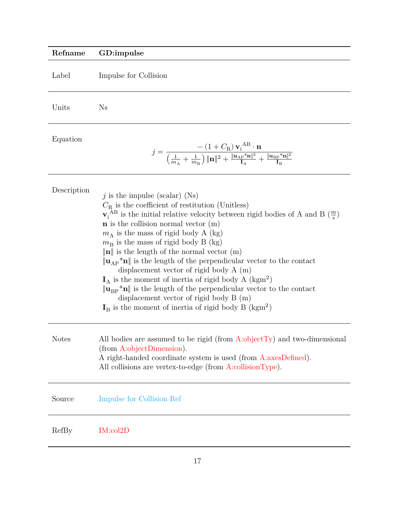## **Refname GD:impulse**

Label Impulse for Collision

Units Ns

Equation

<span id="page-16-0"></span>
$$
j=\frac{-\left(1+C_\mathrm{R}\right)\mathbf{v_i}^{\mathrm{A}\mathrm{B}}\cdot\mathbf{n}}{\left(\frac{1}{m_\mathrm{A}}+\frac{1}{m_\mathrm{B}}\right)\|\mathbf{n}\|^2+\frac{\|\mathbf{u}_\mathrm{AP}^*\mathbf{n}\|^2}{\mathbf{I}_\mathrm{A}}+\frac{\|\mathbf{u}_\mathrm{BP}^*\mathbf{n}\|^2}{\mathbf{I}_\mathrm{B}}}
$$

| Description  | j is the impulse (scalar) (Ns)<br>$C_{\rm R}$ is the coefficient of restitution (Unitless)<br>$\mathbf{v}_i^{\text{AB}}$ is the initial relative velocity between rigid bodies of A and B $(\frac{m}{s})$<br>$n$ is the collision normal vector $(m)$<br>$m_A$ is the mass of rigid body A (kg)<br>$m_{\rm B}$ is the mass of rigid body B (kg)<br>$\ \mathbf{n}\ $ is the length of the normal vector (m)<br>$\ \mathbf{u}_{AP}*\mathbf{n}\ $ is the length of the perpendicular vector to the contact<br>displacement vector of rigid body $A(m)$<br>$I_A$ is the moment of inertia of rigid body A (kgm <sup>2</sup> )<br>$\ \mathbf{u}_{\text{BP}}\ ^* \mathbf{n}\ $ is the length of the perpendicular vector to the contact<br>displacement vector of rigid body $B(m)$<br>$IB$ is the moment of inertia of rigid body B (kgm <sup>2</sup> ) |
|--------------|----------------------------------------------------------------------------------------------------------------------------------------------------------------------------------------------------------------------------------------------------------------------------------------------------------------------------------------------------------------------------------------------------------------------------------------------------------------------------------------------------------------------------------------------------------------------------------------------------------------------------------------------------------------------------------------------------------------------------------------------------------------------------------------------------------------------------------------------------|
| <b>Notes</b> | All bodies are assumed to be rigid (from A:objectTy) and two-dimensional<br>(from A:objectDimension).<br>A right-handed coordinate system is used (from A:axesDefined).<br>All collisions are vertex-to-edge (from $A$ :collisionType).                                                                                                                                                                                                                                                                                                                                                                                                                                                                                                                                                                                                            |
| Source       | Impulse for Collision Ref                                                                                                                                                                                                                                                                                                                                                                                                                                                                                                                                                                                                                                                                                                                                                                                                                          |
| RefBy        | IM:col2D                                                                                                                                                                                                                                                                                                                                                                                                                                                                                                                                                                                                                                                                                                                                                                                                                                           |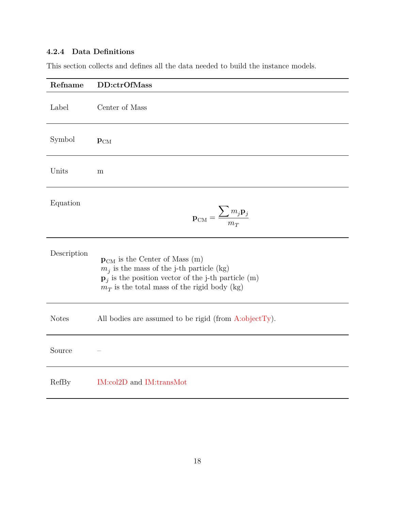## <span id="page-17-0"></span>**4.2.4 Data Definitions**

This section collects and defines all the data needed to build the instance models.

<span id="page-17-1"></span>

| Refname      | DD:ctrOfMass                                                                                                                                                                                                          |
|--------------|-----------------------------------------------------------------------------------------------------------------------------------------------------------------------------------------------------------------------|
| Label        | Center of Mass                                                                                                                                                                                                        |
| Symbol       | $\mathbf{p}_{\mathrm{CM}}$                                                                                                                                                                                            |
| Units        | m                                                                                                                                                                                                                     |
| Equation     | $\mathbf{p}_{\rm CM} = \frac{\sum m_j \mathbf{p}_j}{m_T}$                                                                                                                                                             |
| Description  | $\mathbf{p}_{\text{CM}}$ is the Center of Mass (m)<br>$m_i$ is the mass of the j-th particle (kg)<br>$\mathbf{p}_i$ is the position vector of the j-th particle (m)<br>$m_T$ is the total mass of the rigid body (kg) |
| <b>Notes</b> | All bodies are assumed to be rigid (from $A:\text{objectTy}$ ).                                                                                                                                                       |
| Source       |                                                                                                                                                                                                                       |
| RefBy        | IM:col2D and IM:transMot                                                                                                                                                                                              |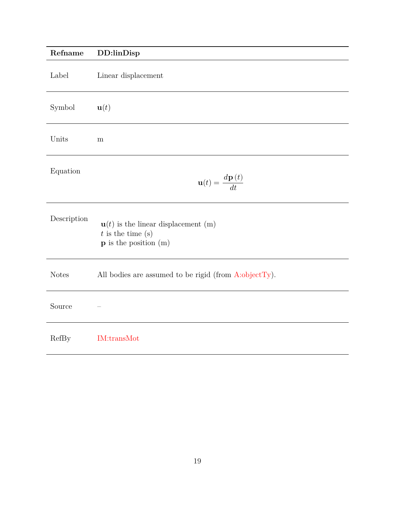<span id="page-18-0"></span>

| Refname      | DD:linDisp                                                                                                |
|--------------|-----------------------------------------------------------------------------------------------------------|
| Label        | Linear displacement                                                                                       |
| Symbol       | $\mathbf{u}(t)$                                                                                           |
| Units        | m                                                                                                         |
| Equation     | $\mathbf{u}(t) = \frac{d\mathbf{p}(t)}{dt}$                                                               |
| Description  | $\mathbf{u}(t)$ is the linear displacement (m)<br>$t$ is the time $(s)$<br>$\bf{p}$ is the position $(m)$ |
| <b>Notes</b> | All bodies are assumed to be rigid (from A:objectTy).                                                     |
| Source       |                                                                                                           |
| RefBy        | IM:transMot                                                                                               |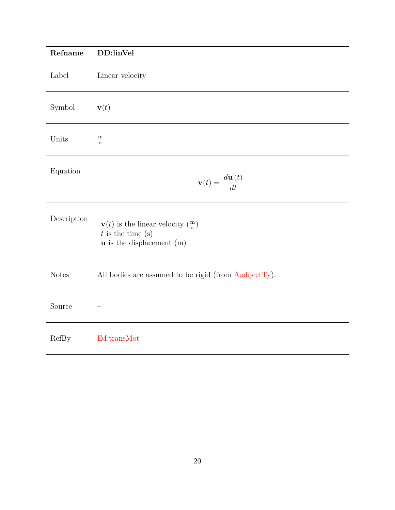<span id="page-19-0"></span>

| Refname      | DD:linVel                                                                                                              |
|--------------|------------------------------------------------------------------------------------------------------------------------|
| Label        | Linear velocity                                                                                                        |
| Symbol       | $\mathbf{v}(t)$                                                                                                        |
| Units        | $\frac{\text{m}}{\text{s}}$                                                                                            |
| Equation     | $\mathbf{v}(t) = \frac{d\mathbf{u}\left(t\right)}{dt}$                                                                 |
| Description  | $\mathbf{v}(t)$ is the linear velocity $(\frac{m}{s})$<br>$t$ is the time $(s)$<br>$\mathbf u$ is the displacement (m) |
| <b>Notes</b> | All bodies are assumed to be rigid (from $A:\text{objectTy}$ ).                                                        |
| Source       |                                                                                                                        |
| RefBy        | IM:transMot                                                                                                            |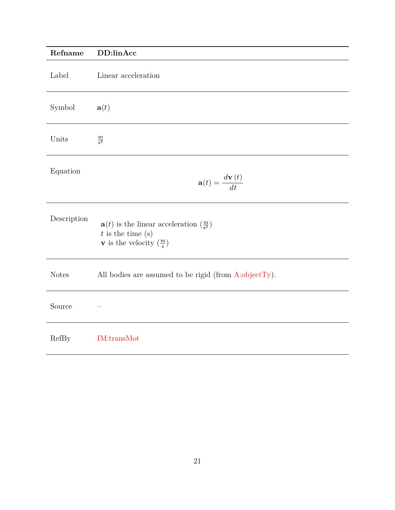<span id="page-20-0"></span>

| Refname      | DD:linAcc                                                                                                                                                |
|--------------|----------------------------------------------------------------------------------------------------------------------------------------------------------|
| Label        | Linear acceleration                                                                                                                                      |
| Symbol       | $\mathbf{a}(t)$                                                                                                                                          |
| Units        | $\frac{\text{m}}{\text{s}^2}$                                                                                                                            |
| Equation     | $\mathbf{a}(t) = \frac{d\mathbf{v}(t)}{dt}$                                                                                                              |
| Description  | $\mathbf{a}(t)$ is the linear acceleration $\left(\frac{m}{s^2}\right)$<br>$t$ is the time $(s)$<br>${\bf v}$ is the velocity $\left(\frac{m}{s}\right)$ |
| <b>Notes</b> | All bodies are assumed to be rigid (from $A:\text{objectTy}$ ).                                                                                          |
| Source       |                                                                                                                                                          |
| RefBy        | <b>IM:transMot</b>                                                                                                                                       |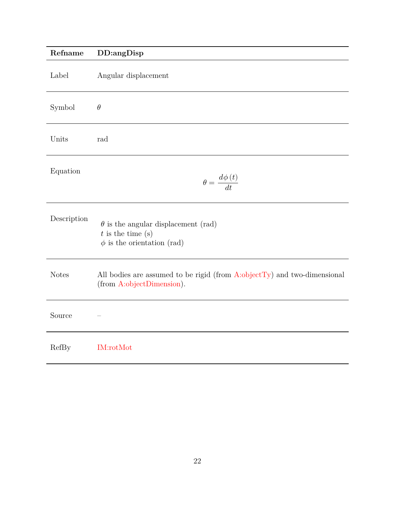<span id="page-21-0"></span>

| Refname      | DD:angDisp                                                                                               |
|--------------|----------------------------------------------------------------------------------------------------------|
| Label        | Angular displacement                                                                                     |
| Symbol       | $\theta$                                                                                                 |
| Units        | rad                                                                                                      |
| Equation     | $\theta = \frac{d\phi(t)}{dt}$                                                                           |
| Description  | $\theta$ is the angular displacement (rad)<br>$t$ is the time $(s)$<br>$\phi$ is the orientation (rad)   |
| <b>Notes</b> | All bodies are assumed to be rigid (from $A:objectTy$ ) and two-dimensional<br>(from A:objectDimension). |
| Source       |                                                                                                          |
| RefBy        | <b>IM:rotMot</b>                                                                                         |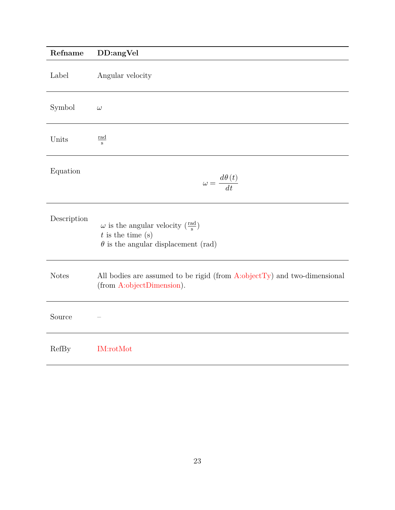<span id="page-22-0"></span>

| Refname      | DD:angVel                                                                                                               |
|--------------|-------------------------------------------------------------------------------------------------------------------------|
| Label        | Angular velocity                                                                                                        |
| Symbol       | $\omega$                                                                                                                |
| Units        | <u>rad</u><br>$\,$ s                                                                                                    |
| Equation     | $\omega = \frac{d\theta \left( t \right)}{dt}$                                                                          |
| Description  | $\omega$ is the angular velocity $(\frac{rad}{s})$<br>$t$ is the time (s)<br>$\theta$ is the angular displacement (rad) |
| <b>Notes</b> | All bodies are assumed to be rigid (from $A:objectTy$ ) and two-dimensional<br>(from A:objectDimension).                |
| Source       |                                                                                                                         |
| RefBy        | <b>IM:rotMot</b>                                                                                                        |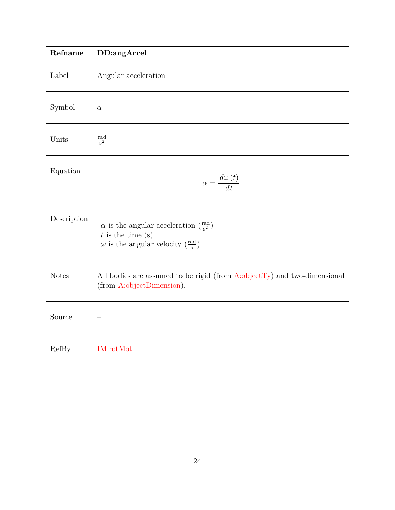<span id="page-23-0"></span>

| Refname      | DD:angAccel                                                                                                                                                                    |
|--------------|--------------------------------------------------------------------------------------------------------------------------------------------------------------------------------|
| Label        | Angular acceleration                                                                                                                                                           |
| Symbol       | $\alpha$                                                                                                                                                                       |
| Units        | $rac{\text{rad}}{\text{s}^2}$                                                                                                                                                  |
| Equation     | $\alpha = \frac{d\omega(t)}{dt}$                                                                                                                                               |
| Description  | $\alpha$ is the angular acceleration $\left(\frac{\text{rad}}{\text{s}^2}\right)$<br>$t$ is the time $(s)$<br>$\omega$ is the angular velocity $(\frac{\text{rad}}{\text{s}})$ |
| <b>Notes</b> | All bodies are assumed to be rigid (from $A:objectTy$ ) and two-dimensional<br>(from A:objectDimension).                                                                       |
| Source       |                                                                                                                                                                                |
| RefBy        | <b>IM:rotMot</b>                                                                                                                                                               |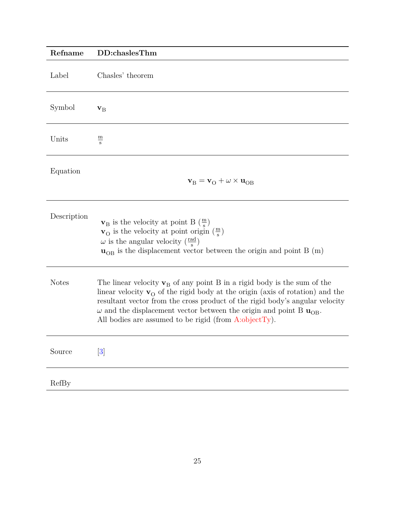<span id="page-24-0"></span>

| Refname      | DD:chaslesThm                                                                                                                                                                                                                                                                                                                                                                                                                                |
|--------------|----------------------------------------------------------------------------------------------------------------------------------------------------------------------------------------------------------------------------------------------------------------------------------------------------------------------------------------------------------------------------------------------------------------------------------------------|
| Label        | Chasles' theorem                                                                                                                                                                                                                                                                                                                                                                                                                             |
| Symbol       | ${\bf v}_{\rm B}$                                                                                                                                                                                                                                                                                                                                                                                                                            |
| Units        | $\underline{\mathbf{m}}$<br>$\mathbf{s}$                                                                                                                                                                                                                                                                                                                                                                                                     |
| Equation     | $\mathbf{v}_{\rm B} = \mathbf{v}_{\rm O} + \omega \times \mathbf{u}_{\rm OB}$                                                                                                                                                                                                                                                                                                                                                                |
| Description  | $\mathbf{v}_{\rm B}$ is the velocity at point B $(\frac{\rm m}{\rm s})$<br>$\mathbf{v}_{\rm O}$ is the velocity at point origin $\left(\frac{\rm m}{\rm s}\right)$<br>$\omega$ is the angular velocity $(\frac{rad}{s})$<br>$\mathbf{u}_{OB}$ is the displacement vector between the origin and point B (m)                                                                                                                                  |
| <b>Notes</b> | The linear velocity $\mathbf{v}_B$ of any point B in a rigid body is the sum of the<br>linear velocity $\mathbf{v}_{\Omega}$ of the rigid body at the origin (axis of rotation) and the<br>resultant vector from the cross product of the rigid body's angular velocity<br>$\omega$ and the displacement vector between the origin and point B $\mathbf{u}_{\text{OB}}$ .<br>All bodies are assumed to be rigid (from $A:\text{objectTy}$ ). |
| Source       | $[3]$                                                                                                                                                                                                                                                                                                                                                                                                                                        |
| RefBy        |                                                                                                                                                                                                                                                                                                                                                                                                                                              |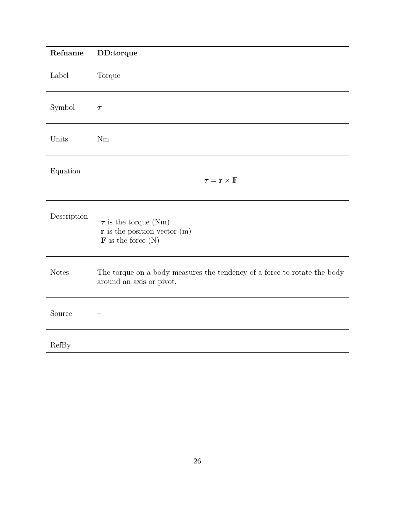<span id="page-25-0"></span>

| Refname      | DD:torque                                                                                             |
|--------------|-------------------------------------------------------------------------------------------------------|
| Label        | Torque                                                                                                |
| Symbol       | $\tau$                                                                                                |
| Units        | Nm                                                                                                    |
| Equation     | $\tau = \mathbf{r} \times \mathbf{F}$                                                                 |
| Description  | $\tau$ is the torque (Nm)<br>$\mathbf r$ is the position vector (m)<br>$\mathbf F$ is the force $(N)$ |
| <b>Notes</b> | The torque on a body measures the tendency of a force to rotate the body<br>around an axis or pivot.  |
| Source       |                                                                                                       |
| RefBy        |                                                                                                       |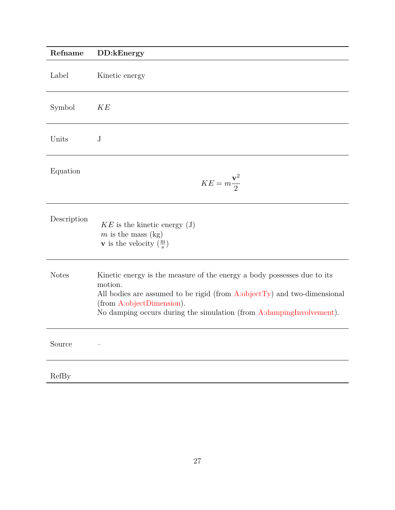<span id="page-26-0"></span>

| Refname      | DD:kEnergy                                                                                                                                                                                                                                                             |
|--------------|------------------------------------------------------------------------------------------------------------------------------------------------------------------------------------------------------------------------------------------------------------------------|
| Label        | Kinetic energy                                                                                                                                                                                                                                                         |
| Symbol       | <b>KE</b>                                                                                                                                                                                                                                                              |
| Units        | $\rm J$                                                                                                                                                                                                                                                                |
| Equation     | $KE = m\frac{\mathbf{v}^2}{2}$                                                                                                                                                                                                                                         |
| Description  | $KE$ is the kinetic energy (J)<br>$m$ is the mass (kg)<br><b>v</b> is the velocity $\left(\frac{m}{s}\right)$                                                                                                                                                          |
| <b>Notes</b> | Kinetic energy is the measure of the energy a body possesses due to its<br>motion.<br>All bodies are assumed to be rigid (from $A:objectTy$ ) and two-dimensional<br>(from A:objectDimension).<br>No damping occurs during the simulation (from A:dampingInvolvement). |
| Source       |                                                                                                                                                                                                                                                                        |
| RefBy        |                                                                                                                                                                                                                                                                        |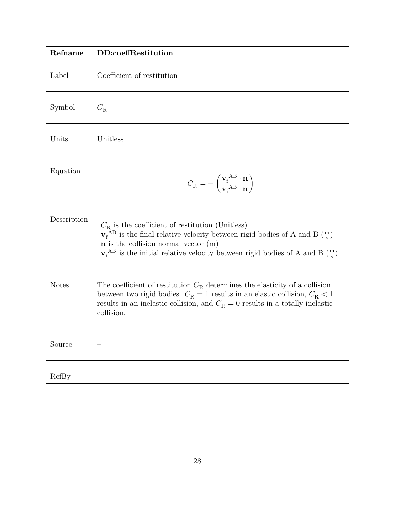<span id="page-27-0"></span>

| Refname      | DD:coeffRestitution                                                                                                                                                                                                                                                                                                         |
|--------------|-----------------------------------------------------------------------------------------------------------------------------------------------------------------------------------------------------------------------------------------------------------------------------------------------------------------------------|
| Label        | Coefficient of restitution                                                                                                                                                                                                                                                                                                  |
| Symbol       | $C_{\rm R}$                                                                                                                                                                                                                                                                                                                 |
| Units        | Unitless                                                                                                                                                                                                                                                                                                                    |
| Equation     | $C_{\rm R} = -\left(\frac{{\bf v}_{\rm f}^{\rm \;AB} \cdot {\bf n}}{{\bf v}_{\rm i}^{\rm \;AB} \cdot {\bf n}}\right)$                                                                                                                                                                                                       |
| Description  | $C_{\rm R}$ is the coefficient of restitution (Unitless)<br>$\mathbf{v}_{f}^{AB}$ is the final relative velocity between rigid bodies of A and B $(\frac{m}{s})$<br>$n$ is the collision normal vector $(m)$<br>$\mathbf{v}_i^{\text{AB}}$ is the initial relative velocity between rigid bodies of A and B $(\frac{m}{s})$ |
| <b>Notes</b> | The coefficient of restitution $C_R$ determines the elasticity of a collision<br>between two rigid bodies. $C_R = 1$ results in an elastic collision, $C_R < 1$<br>results in an inelastic collision, and $C_R = 0$ results in a totally inelastic<br>collision.                                                            |
| Source       |                                                                                                                                                                                                                                                                                                                             |
| RefBy        |                                                                                                                                                                                                                                                                                                                             |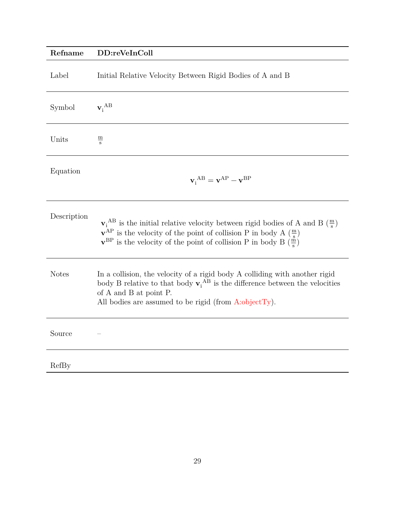# <span id="page-28-0"></span>**Refname DD:reVeInColl** Label Initial Relative Velocity Between Rigid Bodies of A and B Symbol  $\mathbf{v_i}^{\mathrm{AB}}$ Units  $\frac{\text{m}}{\text{s}}$ Equation  $\mathbf{v}_{i}^{\text{AB}} = \mathbf{v}^{\text{AP}} - \mathbf{v}^{\text{BP}}$ Description  $\mathbf{v}_i^{\text{AB}}$  is the initial relative velocity between rigid bodies of A and B  $(\frac{m}{s})$  $\mathbf{v}^{\text{AP}}$  is the velocity of the point of collision P in body A  $\left(\frac{m}{s}\right)$  $\mathbf{v}^{\text{BP}}$  is the velocity of the point of collision P in body B  $\left(\frac{\text{m}}{\text{s}}\right)$ Notes In a collision, the velocity of a rigid body A colliding with another rigid body B relative to that body  $\mathbf{v}_i^{AB}$  is the difference between the velocities of A and B at point P. All bodies are assumed to be rigid (from  $A:objectTy$ ). Source –

RefBy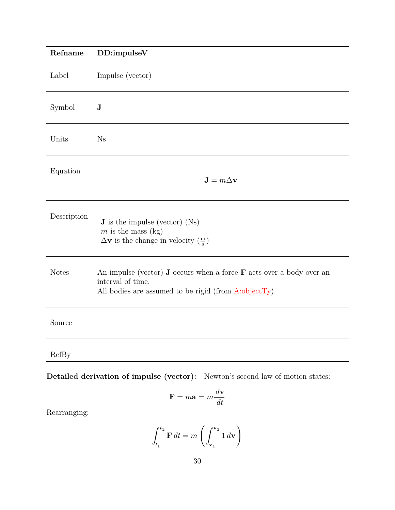<span id="page-29-0"></span>

| Refname      | DD:impulseV                                                                                                                                                                |
|--------------|----------------------------------------------------------------------------------------------------------------------------------------------------------------------------|
| Label        | Impulse (vector)                                                                                                                                                           |
| Symbol       | ${\bf J}$                                                                                                                                                                  |
| Units        | Ns                                                                                                                                                                         |
| Equation     | $\mathbf{J}=m\Delta\mathbf{v}$                                                                                                                                             |
| Description  | <b>J</b> is the impulse (vector) $(Ns)$<br>$m$ is the mass (kg)<br>$\Delta$ <b>v</b> is the change in velocity $(\frac{m}{s})$                                             |
| <b>Notes</b> | An impulse (vector) <b>J</b> occurs when a force $\bf{F}$ acts over a body over an<br>interval of time.<br>All bodies are assumed to be rigid (from $A:\text{objectTy}$ ). |
| Source       |                                                                                                                                                                            |
| RefBy        |                                                                                                                                                                            |
|              | Detailed derivation of impulse (vector):<br>Newton's second law of motion states:                                                                                          |

$$
\mathbf{F} = m\mathbf{a} = m\frac{d\mathbf{v}}{dt}
$$

Rearranging:

$$
\int_{t_1}^{t_2} \mathbf{F} dt = m \left( \int_{\mathbf{v}_1}^{\mathbf{v}_2} 1 d\mathbf{v} \right)
$$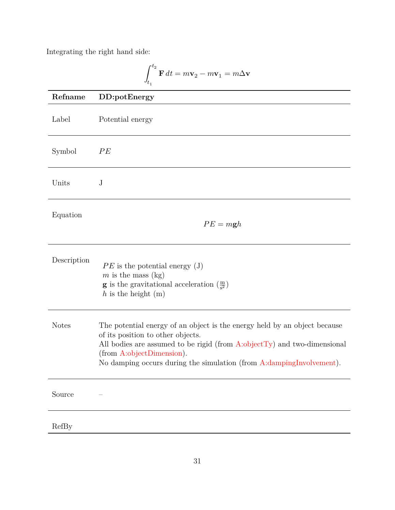Integrating the right hand side:

<span id="page-30-0"></span>
$$
\int_{t_1}^{t_2} \mathbf{F} dt = m\mathbf{v}_2 - m\mathbf{v}_1 = m\Delta \mathbf{v}
$$

| Refname      | DD:potEnergy                                                                                                                                                                                                                                                                                       |
|--------------|----------------------------------------------------------------------------------------------------------------------------------------------------------------------------------------------------------------------------------------------------------------------------------------------------|
| Label        | Potential energy                                                                                                                                                                                                                                                                                   |
| Symbol       | PE                                                                                                                                                                                                                                                                                                 |
| Units        | $\mathbf J$                                                                                                                                                                                                                                                                                        |
| Equation     | $PE = mgh$                                                                                                                                                                                                                                                                                         |
| Description  | $PE$ is the potential energy (J)<br>$m$ is the mass (kg)<br><b>g</b> is the gravitational acceleration $\left(\frac{m}{s^2}\right)$<br>h is the height $(m)$                                                                                                                                       |
| <b>Notes</b> | The potential energy of an object is the energy held by an object because<br>of its position to other objects.<br>All bodies are assumed to be rigid (from $A:objectTy$ ) and two-dimensional<br>(from A:objectDimension).<br>No damping occurs during the simulation (from A:dampingInvolvement). |
| Source       |                                                                                                                                                                                                                                                                                                    |
| RefBy        |                                                                                                                                                                                                                                                                                                    |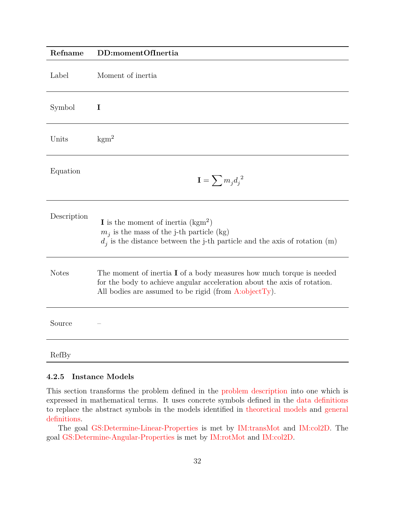<span id="page-31-1"></span>

| Refname      | DD:momentOfInertia                                                                                                                                                                                                    |
|--------------|-----------------------------------------------------------------------------------------------------------------------------------------------------------------------------------------------------------------------|
| Label        | Moment of inertia                                                                                                                                                                                                     |
| Symbol       | I                                                                                                                                                                                                                     |
| Units        | $\mathrm{kgm}^2$                                                                                                                                                                                                      |
| Equation     | $\mathbf{I} = \sum m_j d_j^{2}$                                                                                                                                                                                       |
| Description  | <b>I</b> is the moment of inertia $(kgm^2)$<br>$m_j$ is the mass of the j-th particle (kg)<br>$d_i$ is the distance between the j-th particle and the axis of rotation (m)                                            |
| <b>Notes</b> | The moment of inertia $I$ of a body measures how much torque is needed<br>for the body to achieve angular acceleration about the axis of rotation.<br>All bodies are assumed to be rigid (from $A:\text{objectTy}$ ). |
| Source       |                                                                                                                                                                                                                       |
| RefBy        |                                                                                                                                                                                                                       |

#### <span id="page-31-0"></span>**4.2.5 Instance Models**

This section transforms the problem defined in the [problem description](#page-7-3) into one which is expressed in mathematical terms. It uses concrete symbols defined in the [data definitions](#page-17-0) to replace the abstract symbols in the models identified in [theoretical models](#page-9-1) and [general](#page-13-0) [definitions.](#page-13-0)

The goal [GS:Determine-Linear-Properties](#page-8-3) is met by [IM:transMot](#page-32-0) and [IM:col2D.](#page-36-0) The goal [GS:Determine-Angular-Properties](#page-8-4) is met by [IM:rotMot](#page-34-0) and [IM:col2D.](#page-36-0)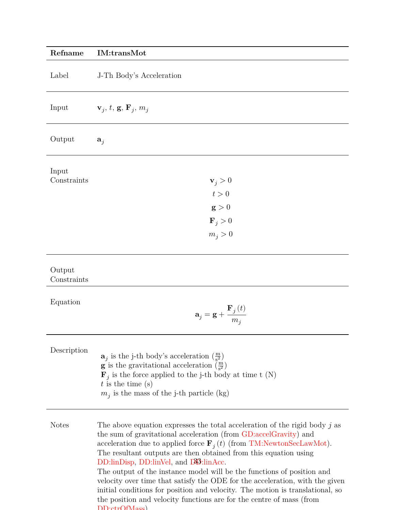<span id="page-32-0"></span>

| Refname               | <b>IM:transMot</b>                                                                                                                                                                                                                                                                                                                                                                                                                                                                                                                                                                                                                                                                   |
|-----------------------|--------------------------------------------------------------------------------------------------------------------------------------------------------------------------------------------------------------------------------------------------------------------------------------------------------------------------------------------------------------------------------------------------------------------------------------------------------------------------------------------------------------------------------------------------------------------------------------------------------------------------------------------------------------------------------------|
| Label                 | J-Th Body's Acceleration                                                                                                                                                                                                                                                                                                                                                                                                                                                                                                                                                                                                                                                             |
| Input                 | $\mathbf{v}_j, t, \mathbf{g}, \mathbf{F}_j, m_j$                                                                                                                                                                                                                                                                                                                                                                                                                                                                                                                                                                                                                                     |
| Output                | $a_j$                                                                                                                                                                                                                                                                                                                                                                                                                                                                                                                                                                                                                                                                                |
| Input                 |                                                                                                                                                                                                                                                                                                                                                                                                                                                                                                                                                                                                                                                                                      |
| Constraints           | $\mathbf{v}_i > 0$                                                                                                                                                                                                                                                                                                                                                                                                                                                                                                                                                                                                                                                                   |
|                       | t>0                                                                                                                                                                                                                                                                                                                                                                                                                                                                                                                                                                                                                                                                                  |
|                       | $\mathbf{g} > 0$                                                                                                                                                                                                                                                                                                                                                                                                                                                                                                                                                                                                                                                                     |
|                       | $\mathbf{F}_i > 0$                                                                                                                                                                                                                                                                                                                                                                                                                                                                                                                                                                                                                                                                   |
|                       | $m_i > 0$                                                                                                                                                                                                                                                                                                                                                                                                                                                                                                                                                                                                                                                                            |
| Output<br>Constraints |                                                                                                                                                                                                                                                                                                                                                                                                                                                                                                                                                                                                                                                                                      |
| Equation              | $\mathbf{a}_j = \mathbf{g} + \frac{\mathbf{F}_j(t)}{m_j}$                                                                                                                                                                                                                                                                                                                                                                                                                                                                                                                                                                                                                            |
| Description           | $\mathbf{a}_i$ is the j-th body's acceleration $\left(\frac{m}{s^2}\right)$<br><b>g</b> is the gravitational acceleration $\left(\frac{m}{s^2}\right)$<br>$\mathbf{F}_j$ is the force applied to the j-th body at time t (N)<br>$t$ is the time (s)<br>$m_j$ is the mass of the j-th particle (kg)                                                                                                                                                                                                                                                                                                                                                                                   |
| <b>Notes</b>          | The above equation expresses the total acceleration of the rigid body $j$ as<br>the sum of gravitational acceleration (from GD:accelGravity) and<br>acceleration due to applied force $\mathbf{F}_i(t)$ (from TM:NewtonSecLawMot).<br>The resultant outputs are then obtained from this equation using<br>DD:linDisp, DD:linVel, and D33:linAcc.<br>The output of the instance model will be the functions of position and<br>velocity over time that satisfy the ODE for the acceleration, with the given<br>initial conditions for position and velocity. The motion is translational, so<br>the position and velocity functions are for the centre of mass (from<br>DD:ctrOfMass) |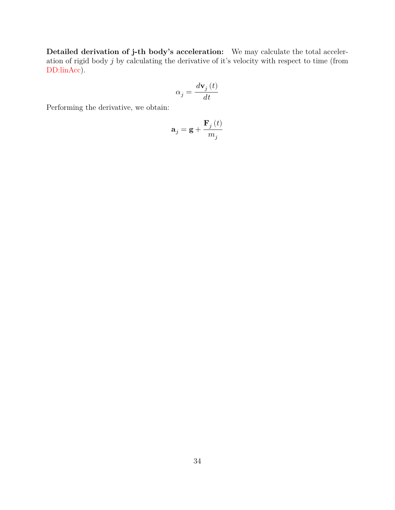**Detailed derivation of j-th body's acceleration:** We may calculate the total acceleration of rigid body  $j$  by calculating the derivative of it's velocity with respect to time (from [DD:linAcc\)](#page-20-0).

$$
\alpha_{j}=\frac{d\mathbf{v}_{j}\left(t\right)}{dt}
$$

Performing the derivative, we obtain:

$$
\mathbf{a}_{j}=\mathbf{g}+\frac{\mathbf{F}_{j}\left(t\right)}{m_{j}}
$$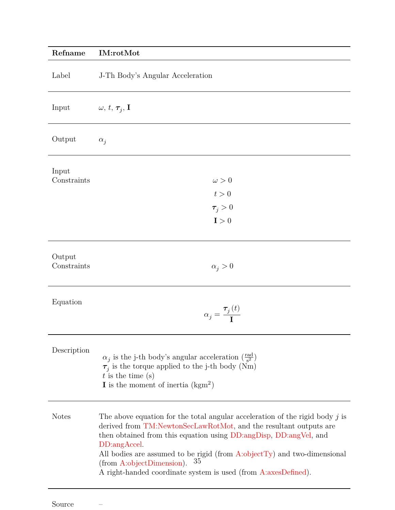<span id="page-34-0"></span>

| Refname               | <b>IM:rotMot</b>                                                                                                                                                                                                                                                                                                                                                                                                             |
|-----------------------|------------------------------------------------------------------------------------------------------------------------------------------------------------------------------------------------------------------------------------------------------------------------------------------------------------------------------------------------------------------------------------------------------------------------------|
| Label                 | J-Th Body's Angular Acceleration                                                                                                                                                                                                                                                                                                                                                                                             |
| Input                 | $\omega, t, \tau_j, I$                                                                                                                                                                                                                                                                                                                                                                                                       |
| Output                | $\alpha_i$                                                                                                                                                                                                                                                                                                                                                                                                                   |
| Input<br>Constraints  | $\omega > 0$<br>t>0<br>$\tau_i > 0$<br>I > 0                                                                                                                                                                                                                                                                                                                                                                                 |
| Output<br>Constraints | $\alpha_j > 0$                                                                                                                                                                                                                                                                                                                                                                                                               |
| Equation              | $\alpha_j = \frac{\tau_j(t)}{I}$                                                                                                                                                                                                                                                                                                                                                                                             |
| Description           | $\alpha_i$ is the j-th body's angular acceleration $(\frac{\text{rad}}{\text{s}^2})$<br>$\tau_j$ is the torque applied to the j-th body (Nm)<br>$t$ is the time (s)<br><b>I</b> is the moment of inertia $(kgm2)$                                                                                                                                                                                                            |
| <b>Notes</b>          | The above equation for the total angular acceleration of the rigid body $j$ is<br>derived from TM:NewtonSecLawRotMot, and the resultant outputs are<br>then obtained from this equation using DD:angDisp, DD:angVel, and<br>DD:angAccel.<br>All bodies are assumed to be rigid (from $A:objectTy$ ) and two-dimensional<br>35<br>(from A:objectDimension).<br>A right-handed coordinate system is used (from A:axesDefined). |

Source –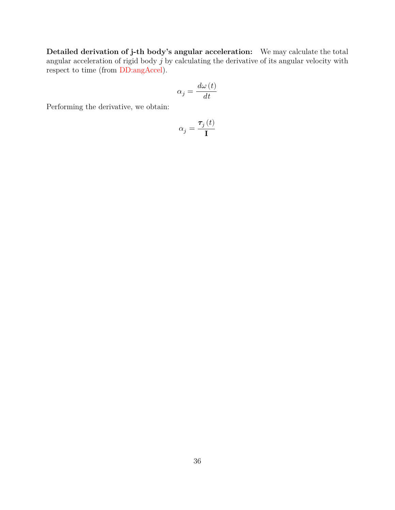**Detailed derivation of j-th body's angular acceleration:** We may calculate the total angular acceleration of rigid body  $j$  by calculating the derivative of its angular velocity with respect to time (from [DD:angAccel\)](#page-23-0).

$$
\alpha_j = \frac{d\omega\left(t\right)}{dt}
$$

Performing the derivative, we obtain:

$$
\alpha_j = \frac{\boldsymbol{\tau}_j\left(t\right)}{\mathbf{I}}
$$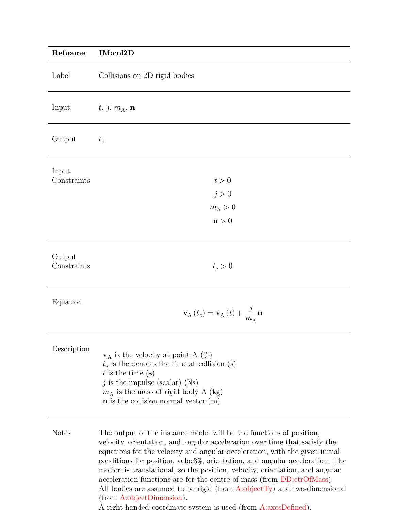<span id="page-36-0"></span>

| Refname               | IM:col2D                                                                                                                                                                                                                                                                                                                                                                                                           |
|-----------------------|--------------------------------------------------------------------------------------------------------------------------------------------------------------------------------------------------------------------------------------------------------------------------------------------------------------------------------------------------------------------------------------------------------------------|
| Label                 | Collisions on 2D rigid bodies                                                                                                                                                                                                                                                                                                                                                                                      |
| Input                 | $t, j, m_A, n$                                                                                                                                                                                                                                                                                                                                                                                                     |
| Output                | $t_{\rm c}$                                                                                                                                                                                                                                                                                                                                                                                                        |
| Input<br>Constraints  | t>0<br>j > 0<br>$m_A > 0$<br>$\mathbf{n}>0$                                                                                                                                                                                                                                                                                                                                                                        |
| Output<br>Constraints | $t_c > 0$                                                                                                                                                                                                                                                                                                                                                                                                          |
| Equation              | $\mathbf{v}_{\rm A}\left(t_{\rm c}\right)=\mathbf{v}_{\rm A}\left(t\right)+\frac{\jmath}{m_{\rm A}}\mathbf{n}$                                                                                                                                                                                                                                                                                                     |
| Description           | $\mathbf{v}_A$ is the velocity at point A $\left(\frac{m}{s}\right)$<br>$t_c$ is the denotes the time at collision (s)<br>$t$ is the time (s)<br>$j$ is the impulse (scalar) (Ns)<br>$m_A$ is the mass of rigid body A (kg)<br>$n$ is the collision normal vector $(m)$                                                                                                                                            |
| <b>Notes</b>          | The output of the instance model will be the functions of position,<br>velocity, orientation, and angular acceleration over time that satisfy the<br>equations for the velocity and angular acceleration, with the given initial<br>conditions for position, veloc $\mathfrak{F}_{N}$ , orientation, and angular acceleration. The<br>motion is translational, so the position, velocity, orientation, and angular |

All bodies are assumed to be rigid (from [A:objectTy\)](#page-9-3) and two-dimensional (from [A:objectDimension\)](#page-9-2).

A right-handed coordinate system is used (from [A:axesDefined\)](#page-9-4).

acceleration functions are for the centre of mass (from [DD:ctrOfMass\)](#page-17-1).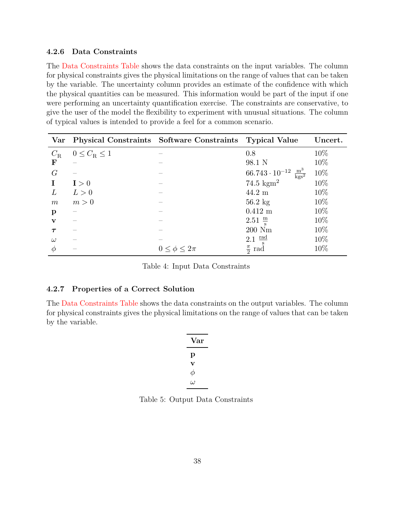#### <span id="page-37-0"></span>**4.2.6 Data Constraints**

The [Data Constraints Table](#page-37-2) shows the data constraints on the input variables. The column for physical constraints gives the physical limitations on the range of values that can be taken by the variable. The uncertainty column provides an estimate of the confidence with which the physical quantities can be measured. This information would be part of the input if one were performing an uncertainty quantification exercise. The constraints are conservative, to give the user of the model the flexibility to experiment with unusual situations. The column of typical values is intended to provide a feel for a common scenario.

<span id="page-37-2"></span>

| Var          |                           | Physical Constraints Software Constraints Typical Value |                                                  | Uncert. |
|--------------|---------------------------|---------------------------------------------------------|--------------------------------------------------|---------|
| $C_{\rm R}$  | $0 \leq C_{\rm R} \leq 1$ |                                                         | 0.8                                              | 10%     |
| $\mathbf F$  |                           |                                                         | 98.1 N                                           | 10\%    |
| G            |                           |                                                         | $66.743 \cdot 10^{-12} \frac{m^3}{\text{kgs}^2}$ | 10%     |
| $\mathbf I$  | I > 0                     |                                                         | 74.5 $\text{kgm}^2$                              | 10%     |
| L            | L>0                       |                                                         | $44.2 \text{ m}$                                 | 10%     |
| m            | m > 0                     |                                                         | $56.2 \text{ kg}$                                | 10\%    |
| p            |                           |                                                         | $0.412$ m                                        | 10%     |
| $\mathbf{V}$ |                           |                                                         | $2.51 \frac{m}{s}$                               | 10\%    |
|              |                           |                                                         | $200\ {\rm Nm}$                                  | 10%     |
| $\omega$     |                           |                                                         | $2.1 \frac{\text{rad}}{\ }$                      | 10%     |
| $\varphi$    |                           | $0 \leq \phi \leq 2\pi$                                 | $\frac{\pi}{2}$<br>rad                           | 10%     |

Table 4: Input Data Constraints

#### <span id="page-37-1"></span>**4.2.7 Properties of a Correct Solution**

<span id="page-37-3"></span>The [Data Constraints Table](#page-37-3) shows the data constraints on the output variables. The column for physical constraints gives the physical limitations on the range of values that can be taken by the variable.

| $\operatorname{Var}$ |  |
|----------------------|--|
| р                    |  |
| v                    |  |
| $\phi$               |  |
| ω                    |  |

Table 5: Output Data Constraints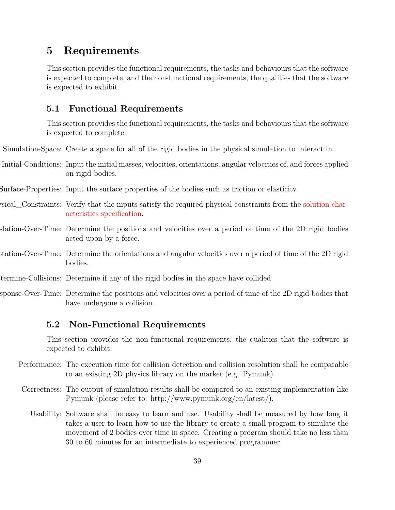## <span id="page-38-0"></span>**5 Requirements**

This section provides the functional requirements, the tasks and behaviours that the software is expected to complete, and the non-functional requirements, the qualities that the software is expected to exhibit.

## <span id="page-38-1"></span>**5.1 Functional Requirements**

<span id="page-38-4"></span><span id="page-38-3"></span>This section provides the functional requirements, the tasks and behaviours that the software is expected to complete.

Simulation-Space: Create a space for all of the rigid bodies in the physical simulation to interact in.

- Initial-Conditions: Input the initial masses, velocities, orientations, angular velocities of, and forces applied on rigid bodies.
- <span id="page-38-5"></span>Input-Surface-Properties: Input the surface properties of the bodies such as friction or elasticity.
- <span id="page-38-6"></span>vertify-Physical\_Constraints: Verify that the inputs satisfy the required physical constraints from the [solution char](#page-8-2)[acteristics specification.](#page-8-2)
- <span id="page-38-7"></span>slation-Over-Time: Determine the positions and velocities over a period of time of the 2D rigid bodies acted upon by a force.
- <span id="page-38-8"></span>obtation-Over-Time: Determine the orientations and angular velocities over a period of time of the 2D rigid bodies.
- Determine-Collisions: Determine if any of the rigid bodies in the space have collided.
- sponse-Over-Time: Determine the positions and velocities over a period of time of the 2D rigid bodies that have undergone a collision.

#### <span id="page-38-10"></span><span id="page-38-9"></span><span id="page-38-2"></span>**5.2 Non-Functional Requirements**

<span id="page-38-11"></span>This section provides the non-functional requirements, the qualities that the software is expected to exhibit.

- Performance: The execution time for collision detection and collision resolution shall be comparable to an existing 2D physics library on the market (e.g. Pymunk).
- <span id="page-38-13"></span><span id="page-38-12"></span>Correctness: The output of simulation results shall be compared to an existing implementation like Pymunk (please refer to: http://www.pymunk.org/en/latest/).
	- Usability: Software shall be easy to learn and use. Usability shall be measured by how long it takes a user to learn how to use the library to create a small program to simulate the movement of 2 bodies over time in space. Creating a program should take no less than 30 to 60 minutes for an intermediate to experienced programmer.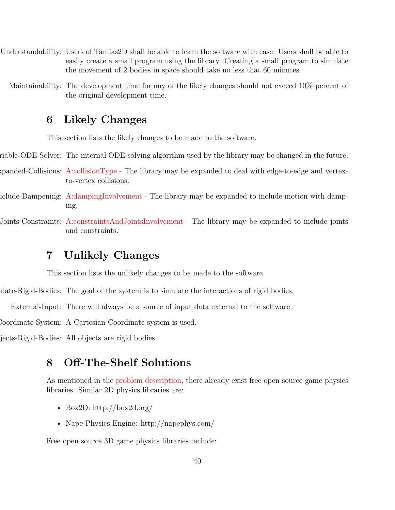- <span id="page-39-6"></span>Understandability: Users of Tamias2D shall be able to learn the software with ease. Users shall be able to easily create a small program using the library. Creating a small program to simulate the movement of 2 bodies in space should take no less that 60 minutes.
	- Maintainability: The development time for any of the likely changes should not exceed 10% percent of the original development time.

## <span id="page-39-7"></span><span id="page-39-0"></span>**6 Likely Changes**

<span id="page-39-8"></span><span id="page-39-4"></span><span id="page-39-3"></span>This section lists the likely changes to be made to the software.

- riable-ODE-Solver: The internal ODE-solving algorithm used by the library may be changed in the future.
- Expanded-Collisions: [A:collisionType](#page-9-5) The library may be expanded to deal with edge-to-edge and vertexto-vertex collisions.
- Include-Dampening: [A:dampingInvolvement](#page-9-6) The library may be expanded to include motion with damping.
- Include-Joints-Constraints: [A:constraintsAndJointsInvolvement](#page-9-7) The library may be expanded to include joints and constraints.

# <span id="page-39-5"></span><span id="page-39-1"></span>**7 Unlikely Changes**

<span id="page-39-10"></span><span id="page-39-9"></span>This section lists the unlikely changes to be made to the software.

Simulate-Rigid-Bodies: The goal of the system is to simulate the interactions of rigid bodies.

External-Input: There will always be a source of input data external to the software.

Coordinate-System: A Cartesian Coordinate system is used.

jects-Rigid-Bodies: All objects are rigid bodies.

# <span id="page-39-12"></span><span id="page-39-11"></span><span id="page-39-2"></span>**8 Off-The-Shelf Solutions**

As mentioned in the [problem description,](#page-7-3) there already exist free open source game physics libraries. Similar 2D physics libraries are:

- Box2D: http://box2d.org/
- Nape Physics Engine: http://napephys.com/

Free open source 3D game physics libraries include: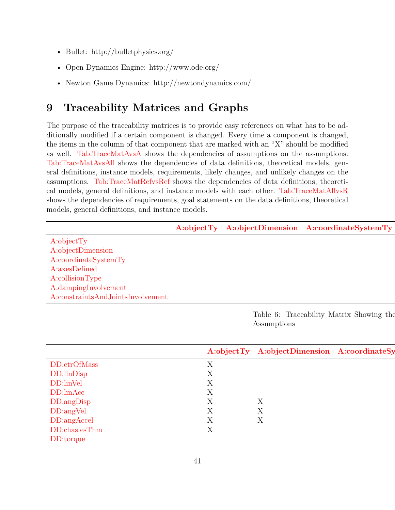- Bullet: http://bulletphysics.org/
- Open Dynamics Engine: http://www.ode.org/
- Newton Game Dynamics: http://newtondynamics.com/

# <span id="page-40-0"></span>**9 Traceability Matrices and Graphs**

The purpose of the traceability matrices is to provide easy references on what has to be additionally modified if a certain component is changed. Every time a component is changed, the items in the column of that component that are marked with an "X" should be modified as well. [Tab:TraceMatAvsA](#page-40-1) shows the dependencies of assumptions on the assumptions. [Tab:TraceMatAvsAll](#page-40-2) shows the dependencies of data definitions, theoretical models, general definitions, instance models, requirements, likely changes, and unlikely changes on the assumptions. [Tab:TraceMatRefvsRef](#page-41-0) shows the dependencies of data definitions, theoretical models, general definitions, and instance models with each other. [Tab:TraceMatAllvsR](#page-42-0) shows the dependencies of requirements, goal statements on the data definitions, theoretical models, general definitions, and instance models.

<span id="page-40-1"></span>

|                                   |  | A:objectTy A:objectDimension A:coordinateSystemTy |
|-----------------------------------|--|---------------------------------------------------|
| A:objectTy                        |  |                                                   |
| A:objectDimension                 |  |                                                   |
| A:coordinateSystemTy              |  |                                                   |
| A:axesDefined                     |  |                                                   |
| A:collisionType                   |  |                                                   |
| A:dampingInvolvement              |  |                                                   |
| A:constraintsAndJointsInvolvement |  |                                                   |

Table 6: Traceability Matrix Showing the Assumptions

<span id="page-40-2"></span>

|               |           | A:objectTy A:objectDimension A:coordinateSy |  |
|---------------|-----------|---------------------------------------------|--|
| DD:ctrOfMass  |           |                                             |  |
| DD:linDisp    |           |                                             |  |
| DD:linVel     |           |                                             |  |
| DD:linAcc     | ∡⊾        |                                             |  |
| DD:angDisp    |           |                                             |  |
| DD:angVel     | $\Delta$  |                                             |  |
| DD:angAccel   |           | ∡⊾                                          |  |
| DD:chaslesThm | $\Lambda$ |                                             |  |
| DD:torque     |           |                                             |  |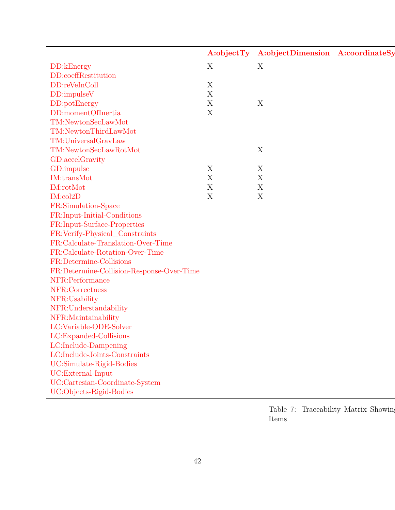|                                           | A:objectTy  | A:objectDimension A:coordinateSy |  |
|-------------------------------------------|-------------|----------------------------------|--|
| DD:kEnergy                                | X           | $\mathbf X$                      |  |
| DD:coeffRestitution                       |             |                                  |  |
| DD:reVeInColl                             | X           |                                  |  |
| DD:impulseV                               | $\mathbf X$ |                                  |  |
| DD:potEnergy                              | $\mathbf X$ | X                                |  |
| DD:momentOfInertia                        | $\mathbf X$ |                                  |  |
| TM:NewtonSecLawMot                        |             |                                  |  |
| TM:NewtonThirdLawMot                      |             |                                  |  |
| TM:UniversalGravLaw                       |             |                                  |  |
| TM:NewtonSecLawRotMot                     |             | X                                |  |
| GD:accelGravity                           |             |                                  |  |
| GD:impulse                                | X           | X                                |  |
| IM:transMot                               | $\mathbf X$ | X                                |  |
| IM:rotMot                                 | X           | X                                |  |
| IM:col2D                                  | X           | $\mathbf X$                      |  |
| FR:Simulation-Space                       |             |                                  |  |
| FR:Input-Initial-Conditions               |             |                                  |  |
| FR:Input-Surface-Properties               |             |                                  |  |
| FR:Verify-Physical_Constraints            |             |                                  |  |
| FR:Calculate-Translation-Over-Time        |             |                                  |  |
| FR:Calculate-Rotation-Over-Time           |             |                                  |  |
| FR:Determine-Collisions                   |             |                                  |  |
| FR:Determine-Collision-Response-Over-Time |             |                                  |  |
| NFR:Performance                           |             |                                  |  |
| NFR:Correctness                           |             |                                  |  |
| NFR:Usability                             |             |                                  |  |
| NFR:Understandability                     |             |                                  |  |
| NFR:Maintainability                       |             |                                  |  |
| LC:Variable-ODE-Solver                    |             |                                  |  |
| LC:Expanded-Collisions                    |             |                                  |  |
| LC:Include-Dampening                      |             |                                  |  |
| $LC: Include-Joints-Constraints \\$       |             |                                  |  |
| UC:Simulate-Rigid-Bodies                  |             |                                  |  |
| UC:External-Input                         |             |                                  |  |
|                                           |             |                                  |  |
| UC:Cartesian-Coordinate-System            |             |                                  |  |

<span id="page-41-0"></span>Table 7: Traceability Matrix Showing Items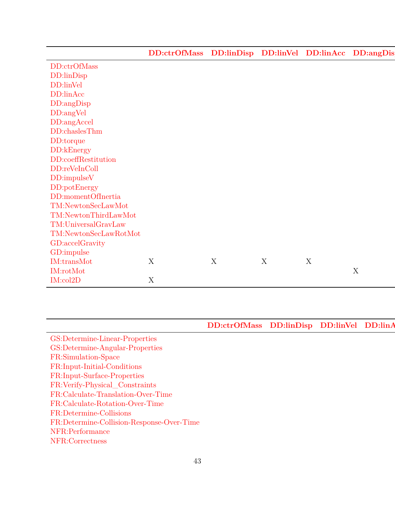|                                                                                                                                             |  |  | DD:ctrOfMass DD:linDisp DD:linVel DD:linAcc DD:angDis |
|---------------------------------------------------------------------------------------------------------------------------------------------|--|--|-------------------------------------------------------|
| DD:ctrOfMass<br>DD:linDisp<br>DD:linVel<br>DD:linAcc<br>DD:angDisp<br>DD:angVel<br>DD:angAccel<br>DD:chaslesThm                             |  |  |                                                       |
|                                                                                                                                             |  |  |                                                       |
|                                                                                                                                             |  |  |                                                       |
|                                                                                                                                             |  |  |                                                       |
|                                                                                                                                             |  |  |                                                       |
|                                                                                                                                             |  |  |                                                       |
|                                                                                                                                             |  |  |                                                       |
|                                                                                                                                             |  |  |                                                       |
|                                                                                                                                             |  |  |                                                       |
|                                                                                                                                             |  |  |                                                       |
|                                                                                                                                             |  |  |                                                       |
| DD:chastes I film<br>DD:corque<br>DD:coeffRestitution<br>DD:reVeInColl<br>DD:impulseV<br>DD:potEnergy<br>DD:potEnergy<br>DD:momentOfInertia |  |  |                                                       |
|                                                                                                                                             |  |  |                                                       |
|                                                                                                                                             |  |  |                                                       |
|                                                                                                                                             |  |  |                                                       |
| TM:NewtonSecLawMot                                                                                                                          |  |  |                                                       |
| $\label{lem:con1} {\bf TM:NewtonThirdLawMot}$                                                                                               |  |  |                                                       |
| TM:UniversalGravLaw                                                                                                                         |  |  |                                                       |
| $\label{lem:con2} TM: NewtonSecLawRotMotMot$                                                                                                |  |  |                                                       |
|                                                                                                                                             |  |  |                                                       |
|                                                                                                                                             |  |  |                                                       |
| GD:accelGravity<br>GD:impulse<br>IM:transMot<br>IM:rotMot                                                                                   |  |  |                                                       |
|                                                                                                                                             |  |  |                                                       |
| IM:col2D<br>the contract of the contract of the contract of                                                                                 |  |  |                                                       |

<span id="page-42-0"></span>

|                                                                                                                                                                                                                                              | DD:ctrOfMass DD:linDisp DD:linVel DD:linA |
|----------------------------------------------------------------------------------------------------------------------------------------------------------------------------------------------------------------------------------------------|-------------------------------------------|
| <sup>C</sup> S:Determine-Linear-Properties                                                                                                                                                                                                   |                                           |
| GS:Determine Emoan Properties<br>GS:Determine-Angular-Properties<br>FR:Simulation-Space<br>FR:Input-Initial-Conditions<br>FR:Input-Surface-Properties<br>FR:Verify-Physical_Constraints<br>FR:Calculate-Translation-Over-Time<br>FR:Calculat |                                           |
|                                                                                                                                                                                                                                              |                                           |
|                                                                                                                                                                                                                                              |                                           |
|                                                                                                                                                                                                                                              |                                           |
|                                                                                                                                                                                                                                              |                                           |
|                                                                                                                                                                                                                                              |                                           |
|                                                                                                                                                                                                                                              |                                           |
|                                                                                                                                                                                                                                              |                                           |
|                                                                                                                                                                                                                                              |                                           |
| NFR:Performance<br>NFR:Correctness                                                                                                                                                                                                           |                                           |
|                                                                                                                                                                                                                                              |                                           |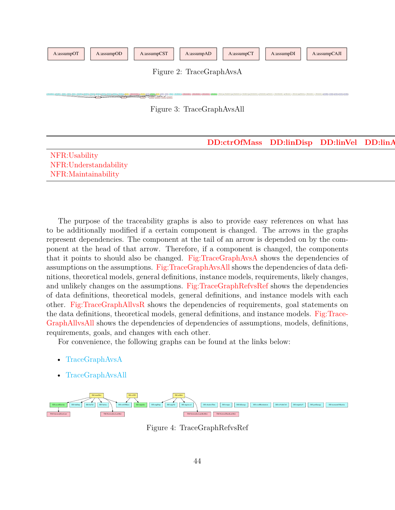<span id="page-43-1"></span><span id="page-43-0"></span>

The purpose of the traceability graphs is also to provide easy references on what has to be additionally modified if a certain component is changed. The arrows in the graphs represent dependencies. The component at the tail of an arrow is depended on by the component at the head of that arrow. Therefore, if a component is changed, the components that it points to should also be changed. [Fig:TraceGraphAvsA](#page-43-0) shows the dependencies of assumptions on the assumptions. [Fig:TraceGraphAvsAll](#page-43-1) shows the dependencies of data definitions, theoretical models, general definitions, instance models, requirements, likely changes, and unlikely changes on the assumptions. [Fig:TraceGraphRefvsRef](#page-43-2) shows the dependencies of data definitions, theoretical models, general definitions, and instance models with each other. [Fig:TraceGraphAllvsR](#page-44-9) shows the dependencies of requirements, goal statements on the data definitions, theoretical models, general definitions, and instance models. [Fig:Trace-](#page-44-10)[GraphAllvsAll](#page-44-10) shows the dependencies of dependencies of assumptions, models, definitions, requirements, goals, and changes with each other.

For convenience, the following graphs can be found at the links below:

• [TraceGraphAvsA](../../../../traceygraphs/gamephysics/avsa.svg)

[NFR:Maintainability](#page-39-7)

• [TraceGraphAvsAll](../../../../traceygraphs/gamephysics/avsall.svg)

<span id="page-43-2"></span>

Figure 4: TraceGraphRefvsRef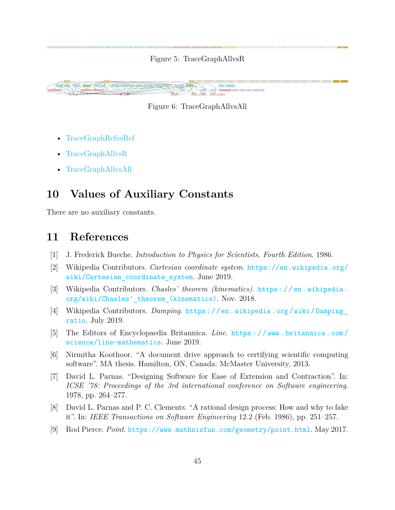<span id="page-44-9"></span>isant lower lower lower lower lower lower lower lower lower lower lower lower lower lower lower lower lower lower lower lower lower lower lower lower lower lower lower lower lower lower lower lower lower lower lower lower Figure 5: TraceGraphAllvsR

<span id="page-44-10"></span>

Figure 6: TraceGraphAllvsAll

- [TraceGraphRefvsRef](../../../../traceygraphs/gamephysics/refvsref.svg)
- [TraceGraphAllvsR](../../../../traceygraphs/gamephysics/allvsr.svg)
- [TraceGraphAllvsAll](../../../../traceygraphs/gamephysics/allvsall.svg)

# <span id="page-44-0"></span>**10 Values of Auxiliary Constants**

There are no auxiliary constants.

## <span id="page-44-1"></span>**11 References**

- [1] J. Frederick Bueche. *Introduction to Physics for Scientists, Fourth Edition*. 1986.
- <span id="page-44-4"></span>[2] Wikipedia Contributors. *Cartesian coordinate system*. [https://en.wikipedia.org/](https://en.wikipedia.org/wiki/Cartesian_coordinate_system) wiki/Cartesian coordinate system. June 2019.
- <span id="page-44-8"></span>[3] Wikipedia Contributors. *Chasles' theorem (kinematics)*. [https : / / en . wikipedia .](https://en.wikipedia.org/wiki/Chasles) [org/wiki/Chasles'\\_theorem\\_\(kinematics\)](https://en.wikipedia.org/wiki/Chasles). Nov. 2018.
- <span id="page-44-7"></span>[4] Wikipedia Contributors. *Damping*. [https : / / en . wikipedia . org / wiki / Damping \\_](https://en.wikipedia.org/wiki/Damping_ratio) [ratio](https://en.wikipedia.org/wiki/Damping_ratio). July 2019.
- <span id="page-44-5"></span>[5] The Editors of Encyclopaedia Britannica. *Line*. [https : / / www . britannica . com /](https://www.britannica.com/science/line-mathematics) [science/line-mathematics](https://www.britannica.com/science/line-mathematics). June 2019.
- <span id="page-44-3"></span>[6] Nirmitha Koothoor. "A document drive approach to certifying scientific computing software". MA thesis. Hamilton, ON, Canada: McMaster University, 2013.
- [7] David L. Parnas. "Designing Software for Ease of Extension and Contraction". In: *ICSE '78: Proceedings of the 3rd international conference on Software engineering*. 1978, pp. 264–277.
- <span id="page-44-2"></span>[8] David L. Parnas and P. C. Clements. "A rational design process: How and why to fake it". In: *IEEE Transactions on Software Engineering* 12.2 (Feb. 1986), pp. 251–257.
- <span id="page-44-6"></span>[9] Rod Pierce. *Point*. <https://www.mathsisfun.com/geometry/point.html>. May 2017.